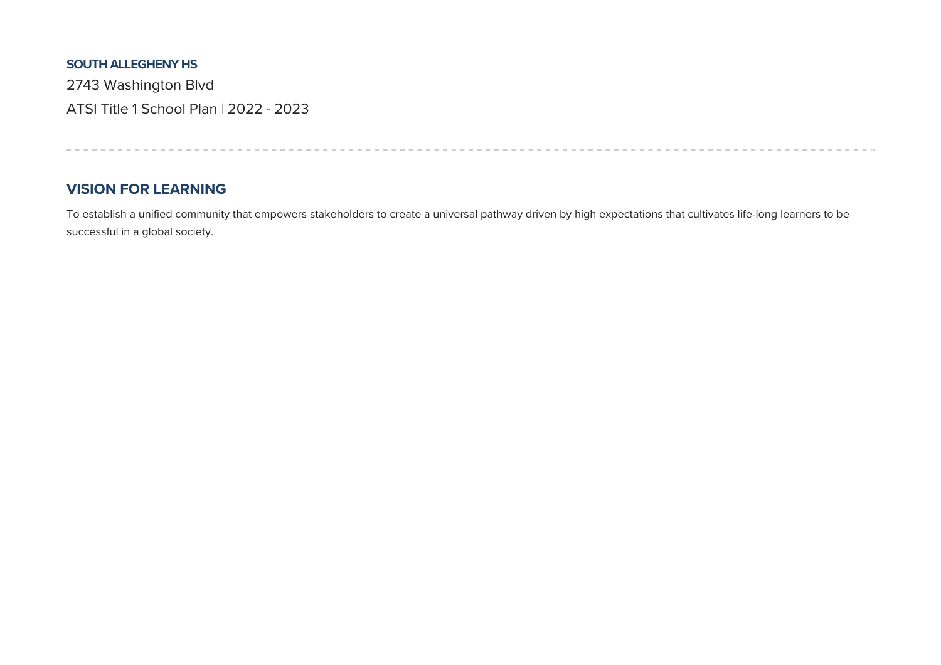#### **SOUTH ALLEGHENY HS**

2743 Washington Blvd ATSI Title 1 School Plan | 2022 - 2023

### **VISION FOR LEARNING**

To establish a unified community that empowers stakeholders to create a universal pathway driven by high expectations that cultivates life-long learners to be successful in a global society.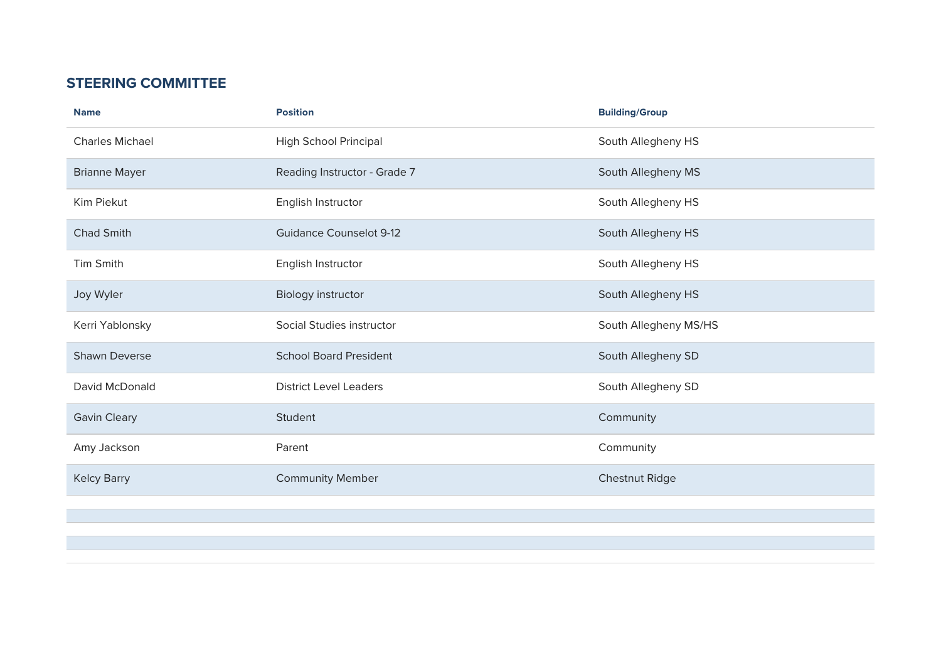# **STEERING COMMITTEE**

| <b>Name</b>            | <b>Position</b>                | <b>Building/Group</b> |
|------------------------|--------------------------------|-----------------------|
| <b>Charles Michael</b> | High School Principal          | South Allegheny HS    |
| <b>Brianne Mayer</b>   | Reading Instructor - Grade 7   | South Allegheny MS    |
| Kim Piekut             | English Instructor             | South Allegheny HS    |
| <b>Chad Smith</b>      | <b>Guidance Counselot 9-12</b> | South Allegheny HS    |
| <b>Tim Smith</b>       | English Instructor             | South Allegheny HS    |
| Joy Wyler              | <b>Biology instructor</b>      | South Allegheny HS    |
| Kerri Yablonsky        | Social Studies instructor      | South Allegheny MS/HS |
| <b>Shawn Deverse</b>   | <b>School Board President</b>  | South Allegheny SD    |
| David McDonald         | <b>District Level Leaders</b>  | South Allegheny SD    |
| <b>Gavin Cleary</b>    | Student                        | Community             |
| Amy Jackson            | Parent                         | Community             |
| <b>Kelcy Barry</b>     | <b>Community Member</b>        | <b>Chestnut Ridge</b> |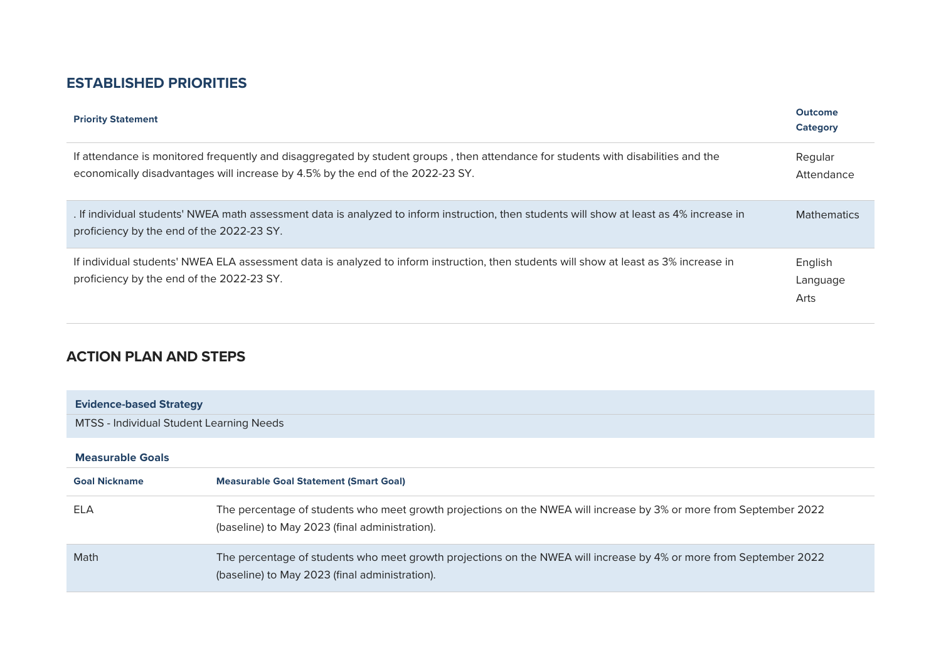# **ESTABLISHED PRIORITIES**

| <b>Priority Statement</b>                                                                                                                                                                                           | <b>Outcome</b><br>Category  |
|---------------------------------------------------------------------------------------------------------------------------------------------------------------------------------------------------------------------|-----------------------------|
| If attendance is monitored frequently and disaggregated by student groups, then attendance for students with disabilities and the<br>economically disadvantages will increase by 4.5% by the end of the 2022-23 SY. | Regular<br>Attendance       |
| . If individual students' NWEA math assessment data is analyzed to inform instruction, then students will show at least as 4% increase in<br>proficiency by the end of the 2022-23 SY.                              | <b>Mathematics</b>          |
| If individual students' NWEA ELA assessment data is analyzed to inform instruction, then students will show at least as 3% increase in<br>proficiency by the end of the 2022-23 SY.                                 | English<br>Language<br>Arts |

# **ACTION PLAN AND STEPS**

| <b>Evidence-based Strategy</b>           |                                                                                                                                                                      |
|------------------------------------------|----------------------------------------------------------------------------------------------------------------------------------------------------------------------|
| MTSS - Individual Student Learning Needs |                                                                                                                                                                      |
|                                          |                                                                                                                                                                      |
| <b>Measurable Goals</b>                  |                                                                                                                                                                      |
| <b>Goal Nickname</b>                     | <b>Measurable Goal Statement (Smart Goal)</b>                                                                                                                        |
| <b>ELA</b>                               | The percentage of students who meet growth projections on the NWEA will increase by 3% or more from September 2022<br>(baseline) to May 2023 (final administration). |
| Math                                     | The percentage of students who meet growth projections on the NWEA will increase by 4% or more from September 2022<br>(baseline) to May 2023 (final administration). |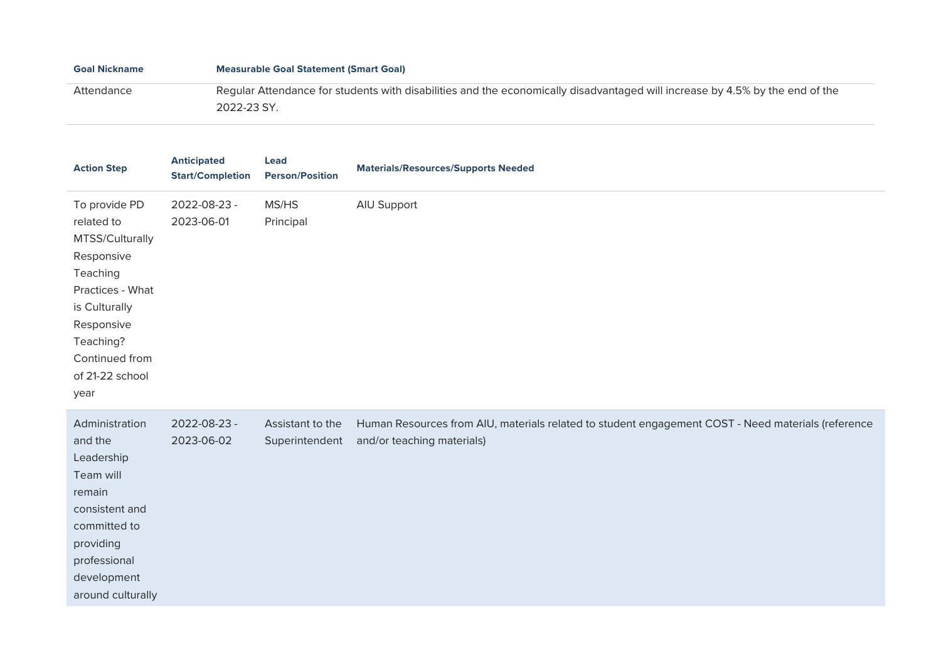| <b>Goal Nickname</b> | <b>Measurable Goal Statement (Smart Goal)</b>                                                                                |
|----------------------|------------------------------------------------------------------------------------------------------------------------------|
| Attendance           | Regular Attendance for students with disabilities and the economically disadvantaged will increase by 4.5% by the end of the |
|                      | 2022-23 SY.                                                                                                                  |

| <b>Action Step</b>                                                                                                                                                                    | <b>Anticipated</b><br><b>Start/Completion</b> | Lead<br><b>Person/Position</b>     | <b>Materials/Resources/Supports Needed</b>                                                                                       |
|---------------------------------------------------------------------------------------------------------------------------------------------------------------------------------------|-----------------------------------------------|------------------------------------|----------------------------------------------------------------------------------------------------------------------------------|
| To provide PD<br>related to<br>MTSS/Culturally<br>Responsive<br>Teaching<br>Practices - What<br>is Culturally<br>Responsive<br>Teaching?<br>Continued from<br>of 21-22 school<br>year | 2022-08-23 -<br>2023-06-01                    | MS/HS<br>Principal                 | AIU Support                                                                                                                      |
| Administration<br>and the<br>Leadership<br>Team will<br>remain<br>consistent and<br>committed to<br>providing<br>professional<br>development<br>around culturally                     | 2022-08-23 -<br>2023-06-02                    | Assistant to the<br>Superintendent | Human Resources from AIU, materials related to student engagement COST - Need materials (reference<br>and/or teaching materials) |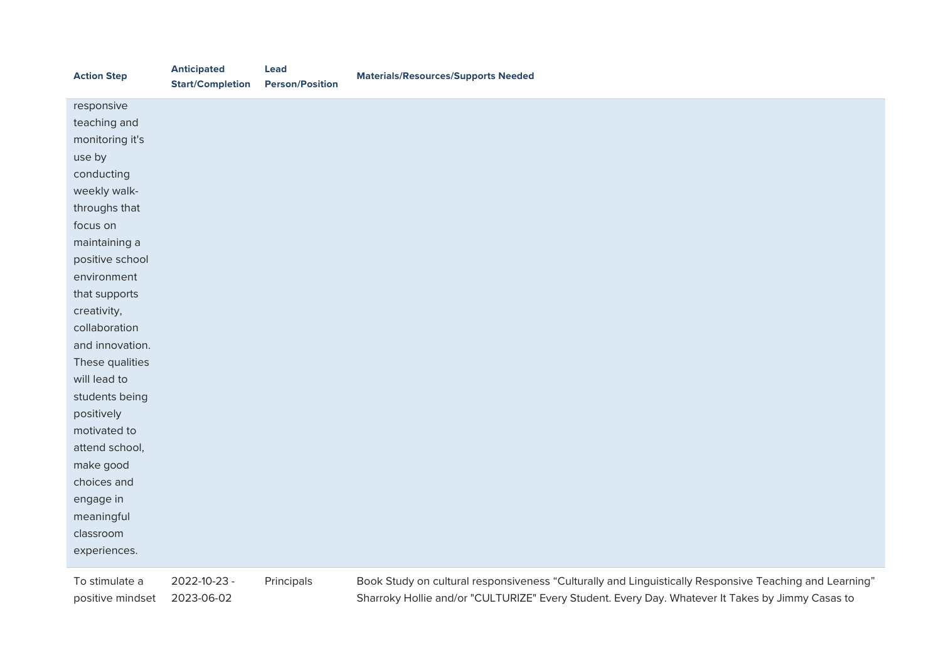| <b>Action Step</b> | <b>Anticipated</b><br><b>Start/Completion</b> | <b>Lead</b><br><b>Person/Position</b> | <b>Materials/Resources/Supports Needed</b>                                                             |
|--------------------|-----------------------------------------------|---------------------------------------|--------------------------------------------------------------------------------------------------------|
| responsive         |                                               |                                       |                                                                                                        |
| teaching and       |                                               |                                       |                                                                                                        |
| monitoring it's    |                                               |                                       |                                                                                                        |
| use by             |                                               |                                       |                                                                                                        |
| conducting         |                                               |                                       |                                                                                                        |
| weekly walk-       |                                               |                                       |                                                                                                        |
| throughs that      |                                               |                                       |                                                                                                        |
| focus on           |                                               |                                       |                                                                                                        |
| maintaining a      |                                               |                                       |                                                                                                        |
| positive school    |                                               |                                       |                                                                                                        |
| environment        |                                               |                                       |                                                                                                        |
| that supports      |                                               |                                       |                                                                                                        |
| creativity,        |                                               |                                       |                                                                                                        |
| collaboration      |                                               |                                       |                                                                                                        |
| and innovation.    |                                               |                                       |                                                                                                        |
| These qualities    |                                               |                                       |                                                                                                        |
| will lead to       |                                               |                                       |                                                                                                        |
| students being     |                                               |                                       |                                                                                                        |
| positively         |                                               |                                       |                                                                                                        |
| motivated to       |                                               |                                       |                                                                                                        |
| attend school,     |                                               |                                       |                                                                                                        |
| make good          |                                               |                                       |                                                                                                        |
| choices and        |                                               |                                       |                                                                                                        |
| engage in          |                                               |                                       |                                                                                                        |
| meaningful         |                                               |                                       |                                                                                                        |
| classroom          |                                               |                                       |                                                                                                        |
| experiences.       |                                               |                                       |                                                                                                        |
| To stimulate a     | 2022-10-23 -                                  | Principals                            | Book Study on cultural responsiveness "Culturally and Linguistically Responsive Teaching and Learning" |
| positive mindset   | 2023-06-02                                    |                                       | Sharroky Hollie and/or "CULTURIZE" Every Student. Every Day. Whatever It Takes by Jimmy Casas to       |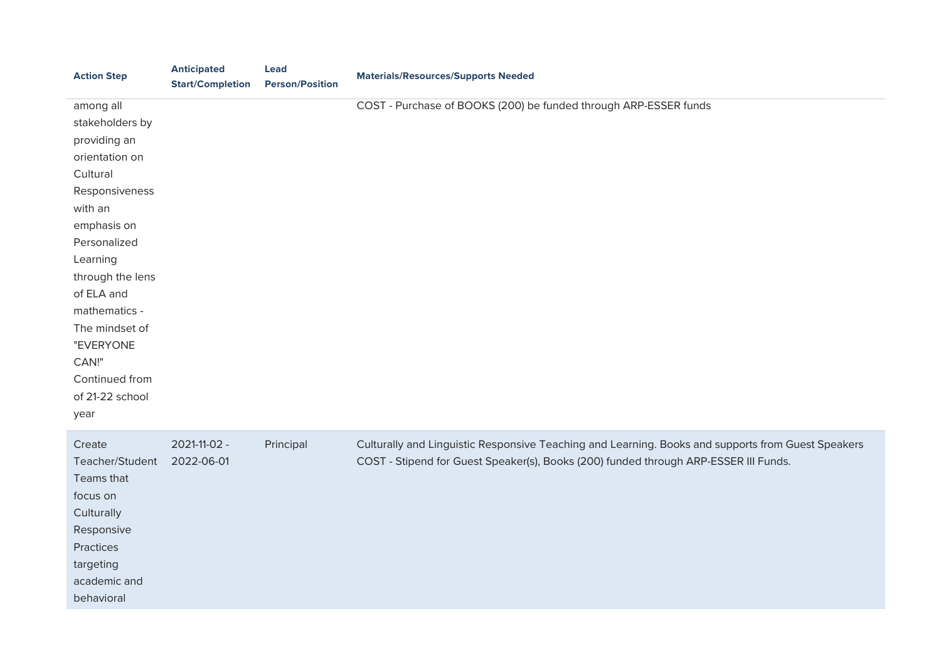| <b>Action Step</b>                                                                                                                                                                                                                                                                         | <b>Anticipated</b><br><b>Start/Completion</b> | <b>Lead</b><br><b>Person/Position</b> | <b>Materials/Resources/Supports Needed</b>                                                                                                                                                 |
|--------------------------------------------------------------------------------------------------------------------------------------------------------------------------------------------------------------------------------------------------------------------------------------------|-----------------------------------------------|---------------------------------------|--------------------------------------------------------------------------------------------------------------------------------------------------------------------------------------------|
| among all<br>stakeholders by<br>providing an<br>orientation on<br>Cultural<br>Responsiveness<br>with an<br>emphasis on<br>Personalized<br>Learning<br>through the lens<br>of ELA and<br>mathematics -<br>The mindset of<br>"EVERYONE<br>CAN!"<br>Continued from<br>of 21-22 school<br>year |                                               |                                       | COST - Purchase of BOOKS (200) be funded through ARP-ESSER funds                                                                                                                           |
| Create<br>Teacher/Student<br>Teams that<br>focus on<br>Culturally<br>Responsive<br>Practices<br>targeting<br>academic and<br>behavioral                                                                                                                                                    | 2021-11-02 -<br>2022-06-01                    | Principal                             | Culturally and Linguistic Responsive Teaching and Learning. Books and supports from Guest Speakers<br>COST - Stipend for Guest Speaker(s), Books (200) funded through ARP-ESSER III Funds. |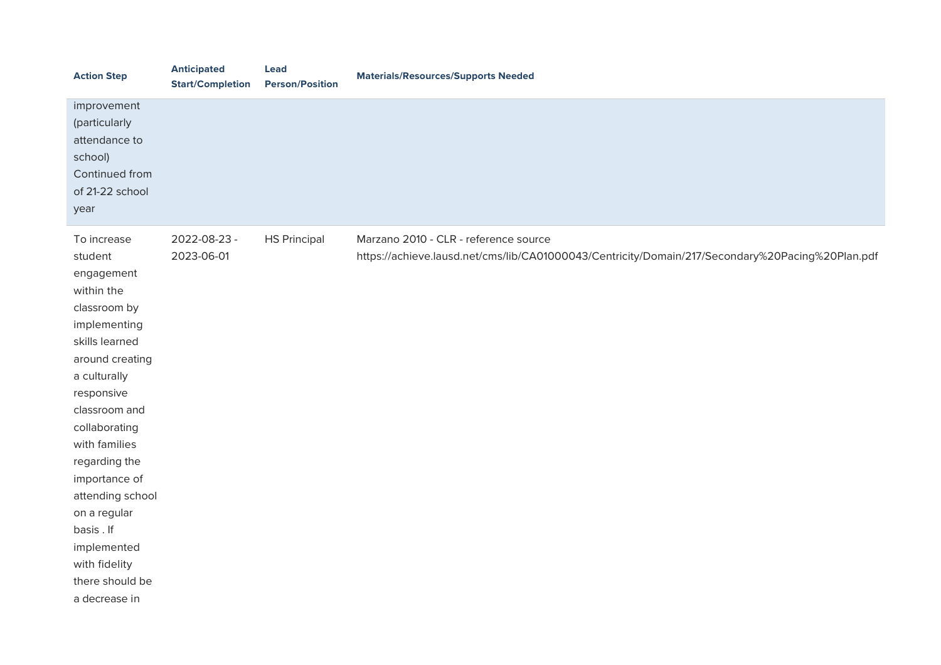| <b>Action Step</b>                                                                                                                                                                                                                                                                                                                                               | <b>Anticipated</b><br><b>Start/Completion</b> | <b>Lead</b><br><b>Person/Position</b> | <b>Materials/Resources/Supports Needed</b>                                                                                                |
|------------------------------------------------------------------------------------------------------------------------------------------------------------------------------------------------------------------------------------------------------------------------------------------------------------------------------------------------------------------|-----------------------------------------------|---------------------------------------|-------------------------------------------------------------------------------------------------------------------------------------------|
| improvement<br>(particularly<br>attendance to<br>school)<br>Continued from<br>of 21-22 school<br>year                                                                                                                                                                                                                                                            |                                               |                                       |                                                                                                                                           |
| To increase<br>student<br>engagement<br>within the<br>classroom by<br>implementing<br>skills learned<br>around creating<br>a culturally<br>responsive<br>classroom and<br>collaborating<br>with families<br>regarding the<br>importance of<br>attending school<br>on a regular<br>basis . If<br>implemented<br>with fidelity<br>there should be<br>a decrease in | 2022-08-23 -<br>2023-06-01                    | <b>HS Principal</b>                   | Marzano 2010 - CLR - reference source<br>https://achieve.lausd.net/cms/lib/CA01000043/Centricity/Domain/217/Secondary%20Pacing%20Plan.pdf |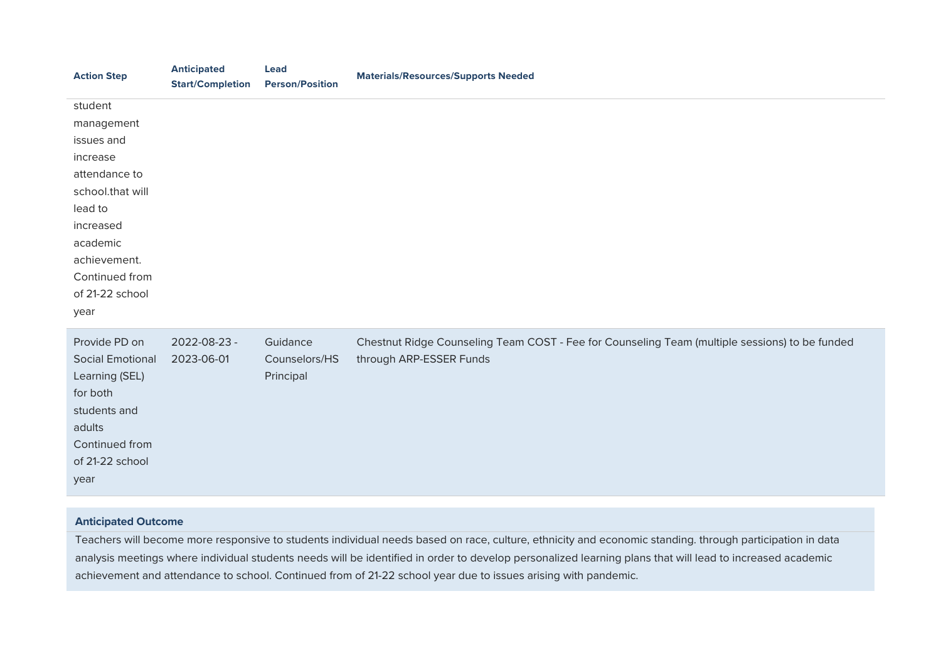| <b>Anticipated</b><br><b>Start/Completion</b> | <b>Lead</b><br><b>Person/Position</b> | <b>Materials/Resources/Supports Needed</b>                                                                                |
|-----------------------------------------------|---------------------------------------|---------------------------------------------------------------------------------------------------------------------------|
|                                               |                                       |                                                                                                                           |
|                                               |                                       |                                                                                                                           |
|                                               |                                       |                                                                                                                           |
|                                               |                                       |                                                                                                                           |
|                                               |                                       |                                                                                                                           |
|                                               |                                       |                                                                                                                           |
|                                               |                                       |                                                                                                                           |
|                                               |                                       |                                                                                                                           |
|                                               |                                       |                                                                                                                           |
|                                               |                                       |                                                                                                                           |
|                                               |                                       |                                                                                                                           |
|                                               |                                       |                                                                                                                           |
|                                               |                                       |                                                                                                                           |
| 2023-06-01                                    | Counselors/HS<br>Principal            | Chestnut Ridge Counseling Team COST - Fee for Counseling Team (multiple sessions) to be funded<br>through ARP-ESSER Funds |
|                                               |                                       |                                                                                                                           |
|                                               |                                       |                                                                                                                           |
|                                               |                                       |                                                                                                                           |
|                                               |                                       |                                                                                                                           |
|                                               |                                       |                                                                                                                           |
|                                               | 2022-08-23 -                          | Guidance                                                                                                                  |

#### **Anticipated Outcome**

Teachers will become more responsive to students individual needs based on race, culture, ethnicity and economic standing. through participation in data analysis meetings where individual students needs will be identified in order to develop personalized learning plans that will lead to increased academic achievement and attendance to school. Continued from of 21-22 school year due to issues arising with pandemic.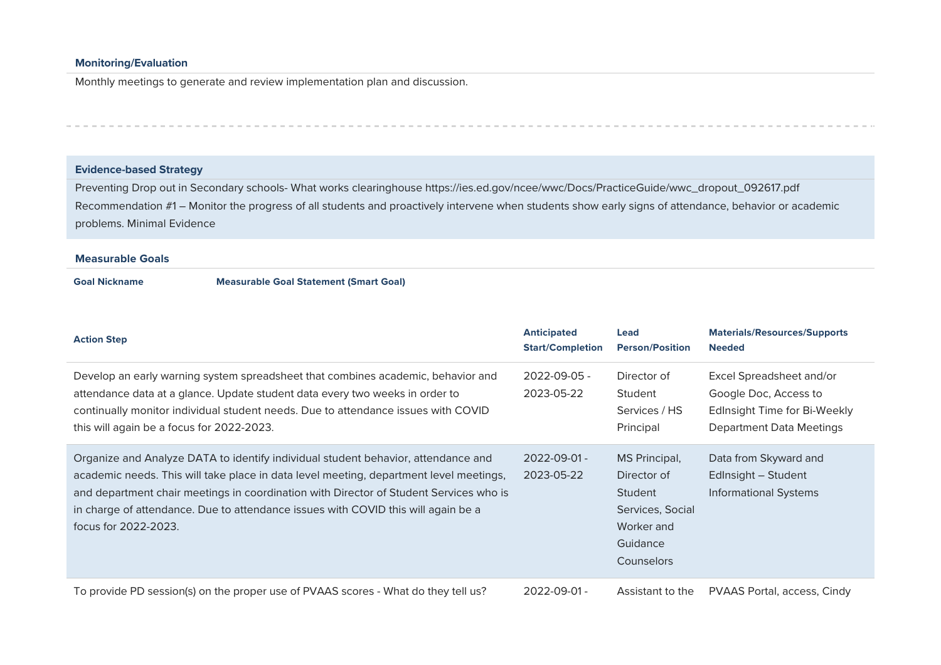#### **Monitoring/Evaluation**

Monthly meetings to generate and review implementation plan and discussion.

#### **Evidence-based Strategy**

Preventing Drop out in Secondary schools- What works clearinghouse https://ies.ed.gov/ncee/wwc/Docs/PracticeGuide/wwc\_dropout\_092617.pdf Recommendation #1 – Monitor the progress of all students and proactively intervene when students show early signs of attendance, behavior or academic problems. Minimal Evidence

#### **Measurable Goals**

#### **Goal Nickname Measurable Goal Statement (Smart Goal)**

| <b>Action Step</b>                                                                                                                                                                                                                                                                                                                                                                 | <b>Anticipated</b><br><b>Start/Completion</b> | Lead<br><b>Person/Position</b>                                                                      | <b>Materials/Resources/Supports</b><br><b>Needed</b>                                                                 |
|------------------------------------------------------------------------------------------------------------------------------------------------------------------------------------------------------------------------------------------------------------------------------------------------------------------------------------------------------------------------------------|-----------------------------------------------|-----------------------------------------------------------------------------------------------------|----------------------------------------------------------------------------------------------------------------------|
| Develop an early warning system spreadsheet that combines academic, behavior and<br>attendance data at a glance. Update student data every two weeks in order to<br>continually monitor individual student needs. Due to attendance issues with COVID<br>this will again be a focus for 2022-2023.                                                                                 | $2022 - 09 - 05 -$<br>2023-05-22              | Director of<br>Student<br>Services / HS<br>Principal                                                | Excel Spreadsheet and/or<br>Google Doc, Access to<br>EdInsight Time for Bi-Weekly<br><b>Department Data Meetings</b> |
| Organize and Analyze DATA to identify individual student behavior, attendance and<br>academic needs. This will take place in data level meeting, department level meetings,<br>and department chair meetings in coordination with Director of Student Services who is<br>in charge of attendance. Due to attendance issues with COVID this will again be a<br>focus for 2022-2023. | $2022 - 09 - 01 -$<br>2023-05-22              | MS Principal,<br>Director of<br>Student<br>Services, Social<br>Worker and<br>Guidance<br>Counselors | Data from Skyward and<br>Edlnsight - Student<br><b>Informational Systems</b>                                         |
| To provide PD session(s) on the proper use of PVAAS scores - What do they tell us?                                                                                                                                                                                                                                                                                                 | 2022-09-01-                                   | Assistant to the                                                                                    | PVAAS Portal, access, Cindy                                                                                          |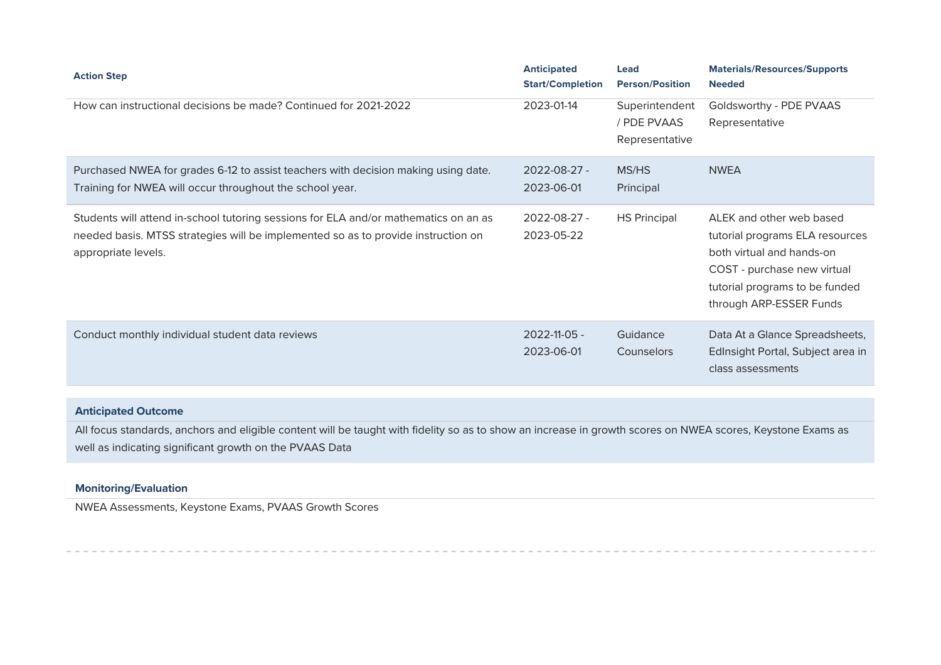| <b>Action Step</b>                                                                                                                                                                               | <b>Anticipated</b><br><b>Start/Completion</b> | <b>Lead</b><br><b>Person/Position</b>           | <b>Materials/Resources/Supports</b><br><b>Needed</b>                                                                                                                                 |
|--------------------------------------------------------------------------------------------------------------------------------------------------------------------------------------------------|-----------------------------------------------|-------------------------------------------------|--------------------------------------------------------------------------------------------------------------------------------------------------------------------------------------|
| How can instructional decisions be made? Continued for 2021-2022                                                                                                                                 | 2023-01-14                                    | Superintendent<br>/ PDE PVAAS<br>Representative | Goldsworthy - PDE PVAAS<br>Representative                                                                                                                                            |
| Purchased NWEA for grades 6-12 to assist teachers with decision making using date.<br>Training for NWEA will occur throughout the school year.                                                   | $2022 - 08 - 27 -$<br>2023-06-01              | MS/HS<br>Principal                              | <b>NWEA</b>                                                                                                                                                                          |
| Students will attend in-school tutoring sessions for ELA and/or mathematics on an as<br>needed basis. MTSS strategies will be implemented so as to provide instruction on<br>appropriate levels. | 2022-08-27 -<br>2023-05-22                    | <b>HS Principal</b>                             | ALEK and other web based<br>tutorial programs ELA resources<br>both virtual and hands-on<br>COST - purchase new virtual<br>tutorial programs to be funded<br>through ARP-ESSER Funds |
| Conduct monthly individual student data reviews                                                                                                                                                  | $2022 - 11 - 05 -$<br>2023-06-01              | Guidance<br>Counselors                          | Data At a Glance Spreadsheets,<br>EdInsight Portal, Subject area in<br>class assessments                                                                                             |

#### **Anticipated Outcome**

All focus standards, anchors and eligible content will be taught with fidelity so as to show an increase in growth scores on NWEA scores, Keystone Exams as well as indicating significant growth on the PVAAS Data

### **Monitoring/Evaluation**

NWEA Assessments, Keystone Exams, PVAAS Growth Scores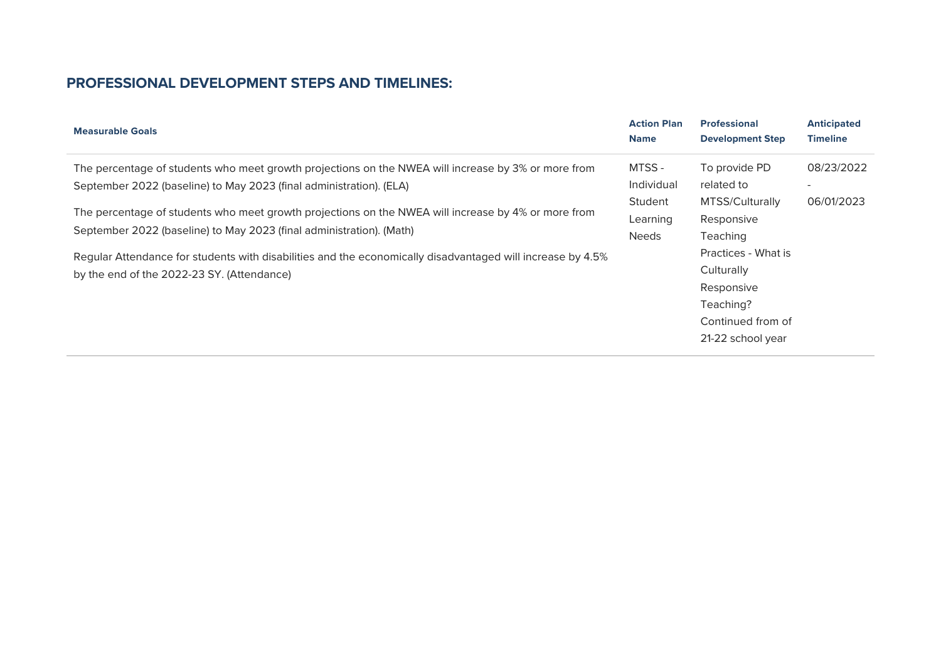| <b>Measurable Goals</b>                                                                                                                                                     | <b>Action Plan</b><br><b>Name</b> | <b>Professional</b><br><b>Development Step</b> | <b>Anticipated</b><br><b>Timeline</b> |
|-----------------------------------------------------------------------------------------------------------------------------------------------------------------------------|-----------------------------------|------------------------------------------------|---------------------------------------|
| The percentage of students who meet growth projections on the NWEA will increase by 3% or more from                                                                         | MTSS-                             | To provide PD                                  | 08/23/2022                            |
| September 2022 (baseline) to May 2023 (final administration). (ELA)                                                                                                         | Individual                        | related to                                     |                                       |
|                                                                                                                                                                             | Student                           | MTSS/Culturally                                | 06/01/2023                            |
| The percentage of students who meet growth projections on the NWEA will increase by 4% or more from<br>September 2022 (baseline) to May 2023 (final administration). (Math) | Learning                          | Responsive                                     |                                       |
|                                                                                                                                                                             | <b>Needs</b>                      | Teaching                                       |                                       |
| Regular Attendance for students with disabilities and the economically disadvantaged will increase by 4.5%                                                                  |                                   | Practices - What is                            |                                       |
| by the end of the 2022-23 SY. (Attendance)                                                                                                                                  |                                   | Culturally                                     |                                       |
|                                                                                                                                                                             |                                   | Responsive                                     |                                       |
|                                                                                                                                                                             |                                   | Teaching?                                      |                                       |
|                                                                                                                                                                             |                                   | Continued from of                              |                                       |
|                                                                                                                                                                             |                                   | 21-22 school year                              |                                       |
|                                                                                                                                                                             |                                   |                                                |                                       |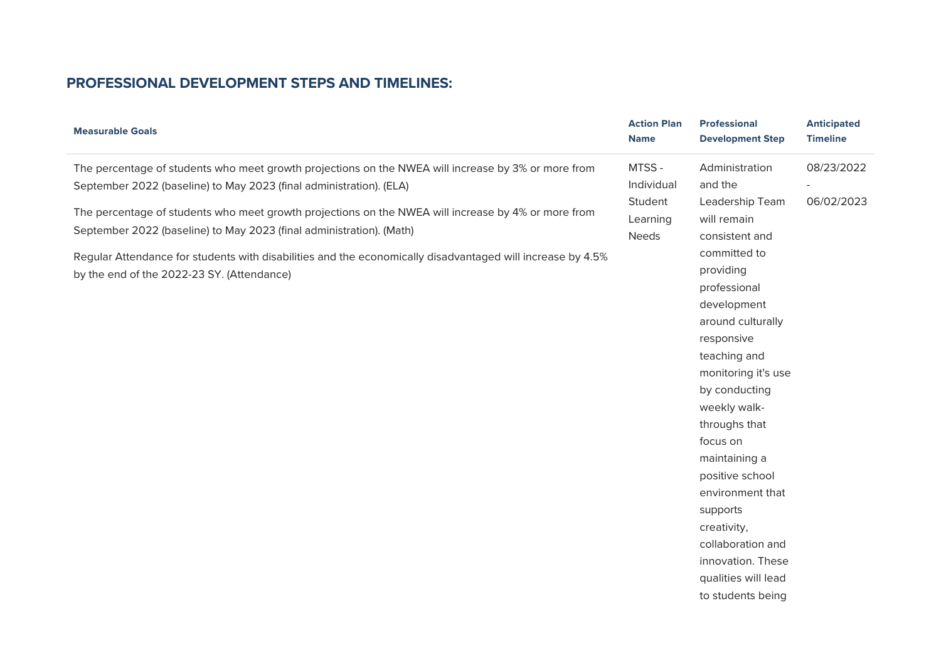| <b>Measurable Goals</b>                                                                                                                                                                                                                                                                                                                                                                                                                                                                                               | <b>Action Plan</b><br><b>Name</b>                          | <b>Professional</b><br><b>Development Step</b>                                                                                                                                                                                                                                                                                                                                                                                        | <b>Anticipated</b><br><b>Timeline</b> |
|-----------------------------------------------------------------------------------------------------------------------------------------------------------------------------------------------------------------------------------------------------------------------------------------------------------------------------------------------------------------------------------------------------------------------------------------------------------------------------------------------------------------------|------------------------------------------------------------|---------------------------------------------------------------------------------------------------------------------------------------------------------------------------------------------------------------------------------------------------------------------------------------------------------------------------------------------------------------------------------------------------------------------------------------|---------------------------------------|
| The percentage of students who meet growth projections on the NWEA will increase by 3% or more from<br>September 2022 (baseline) to May 2023 (final administration). (ELA)<br>The percentage of students who meet growth projections on the NWEA will increase by 4% or more from<br>September 2022 (baseline) to May 2023 (final administration). (Math)<br>Regular Attendance for students with disabilities and the economically disadvantaged will increase by 4.5%<br>by the end of the 2022-23 SY. (Attendance) | MTSS-<br>Individual<br>Student<br>Learning<br><b>Needs</b> | Administration<br>and the<br>Leadership Team<br>will remain<br>consistent and<br>committed to<br>providing<br>professional<br>development<br>around culturally<br>responsive<br>teaching and<br>monitoring it's use<br>by conducting<br>weekly walk-<br>throughs that<br>focus on<br>maintaining a<br>positive school<br>environment that<br>supports<br>creativity,<br>collaboration and<br>innovation. These<br>qualities will lead | 08/23/2022<br>06/02/2023              |
|                                                                                                                                                                                                                                                                                                                                                                                                                                                                                                                       |                                                            | to students being                                                                                                                                                                                                                                                                                                                                                                                                                     |                                       |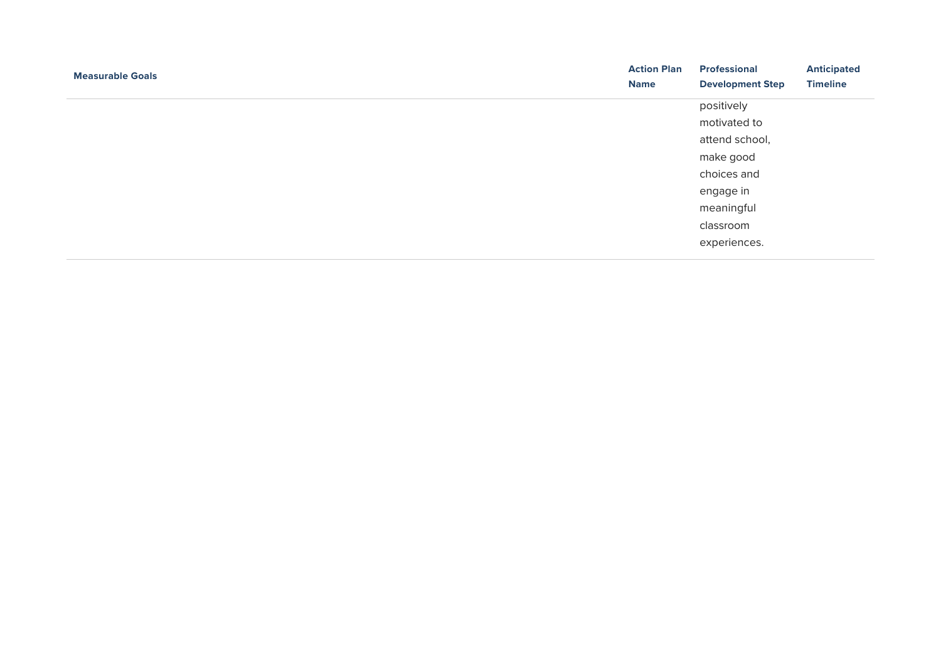| <b>Measurable Goals</b> | <b>Action Plan</b> | <b>Professional</b>     | <b>Anticipated</b> |
|-------------------------|--------------------|-------------------------|--------------------|
|                         | <b>Name</b>        | <b>Development Step</b> | <b>Timeline</b>    |
|                         |                    | positively              |                    |
|                         |                    | motivated to            |                    |
|                         |                    | attend school,          |                    |
|                         |                    | make good               |                    |
|                         |                    | choices and             |                    |
|                         |                    | engage in               |                    |
|                         |                    | meaningful              |                    |
|                         |                    | classroom               |                    |
|                         |                    | experiences.            |                    |
|                         |                    |                         |                    |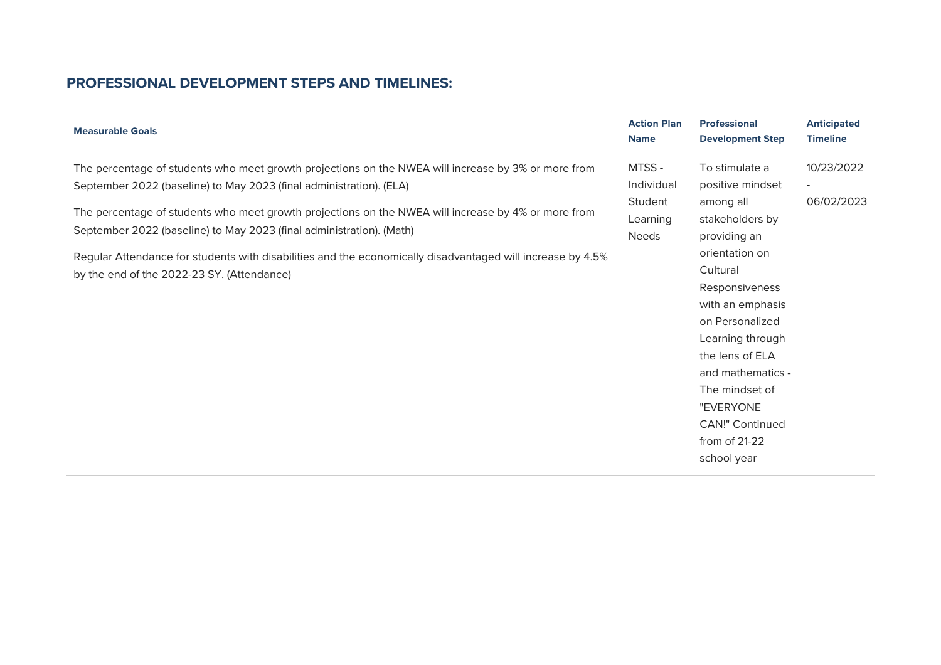| <b>Measurable Goals</b>                                                                                                                                                                                                                                                                                                                                                                                                                                                                                               | <b>Action Plan</b><br><b>Name</b>                          | <b>Professional</b><br><b>Development Step</b>                                                                                                                                                                                                                                                                  | <b>Anticipated</b><br><b>Timeline</b>                |
|-----------------------------------------------------------------------------------------------------------------------------------------------------------------------------------------------------------------------------------------------------------------------------------------------------------------------------------------------------------------------------------------------------------------------------------------------------------------------------------------------------------------------|------------------------------------------------------------|-----------------------------------------------------------------------------------------------------------------------------------------------------------------------------------------------------------------------------------------------------------------------------------------------------------------|------------------------------------------------------|
| The percentage of students who meet growth projections on the NWEA will increase by 3% or more from<br>September 2022 (baseline) to May 2023 (final administration). (ELA)<br>The percentage of students who meet growth projections on the NWEA will increase by 4% or more from<br>September 2022 (baseline) to May 2023 (final administration). (Math)<br>Regular Attendance for students with disabilities and the economically disadvantaged will increase by 4.5%<br>by the end of the 2022-23 SY. (Attendance) | MTSS-<br>Individual<br>Student<br>Learning<br><b>Needs</b> | To stimulate a<br>positive mindset<br>among all<br>stakeholders by<br>providing an<br>orientation on<br>Cultural<br>Responsiveness<br>with an emphasis<br>on Personalized<br>Learning through<br>the lens of ELA<br>and mathematics -<br>The mindset of<br>"EVERYONE<br><b>CAN!" Continued</b><br>from of 21-22 | 10/23/2022<br>$\overline{\phantom{a}}$<br>06/02/2023 |
|                                                                                                                                                                                                                                                                                                                                                                                                                                                                                                                       |                                                            | school year                                                                                                                                                                                                                                                                                                     |                                                      |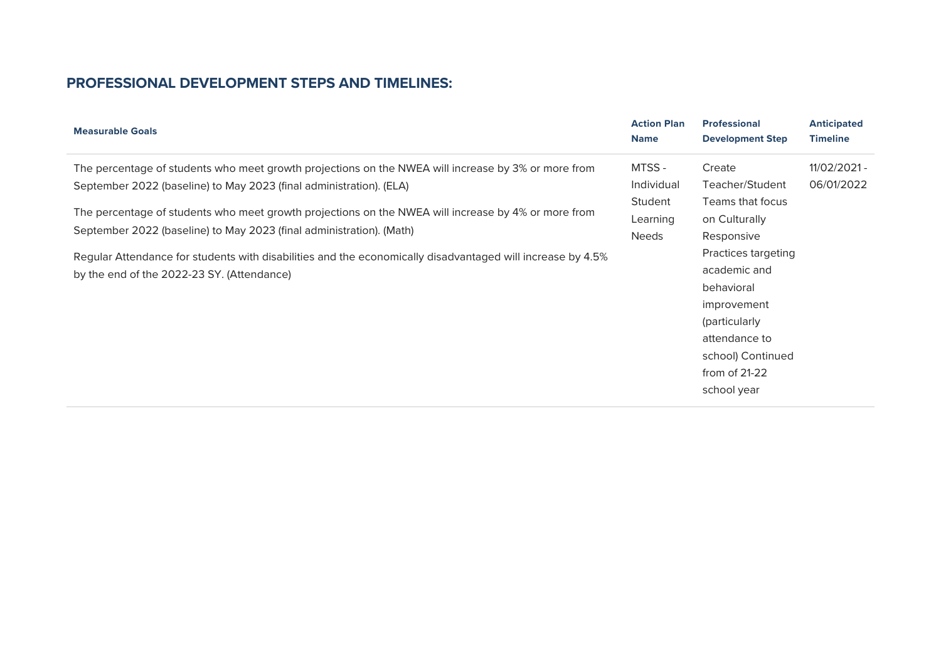| <b>Measurable Goals</b>                                                                                                                                                     | <b>Action Plan</b><br><b>Name</b>   | <b>Professional</b><br><b>Development Step</b>                                                                                                            | <b>Anticipated</b><br><b>Timeline</b> |
|-----------------------------------------------------------------------------------------------------------------------------------------------------------------------------|-------------------------------------|-----------------------------------------------------------------------------------------------------------------------------------------------------------|---------------------------------------|
| The percentage of students who meet growth projections on the NWEA will increase by 3% or more from                                                                         | MTSS-                               | Create                                                                                                                                                    | 11/02/2021 -                          |
| September 2022 (baseline) to May 2023 (final administration). (ELA)                                                                                                         | <b>Individual</b>                   | Teacher/Student                                                                                                                                           | 06/01/2022                            |
| The percentage of students who meet growth projections on the NWEA will increase by 4% or more from<br>September 2022 (baseline) to May 2023 (final administration). (Math) | Student<br>Learning<br><b>Needs</b> | Teams that focus<br>on Culturally<br>Responsive                                                                                                           |                                       |
| Regular Attendance for students with disabilities and the economically disadvantaged will increase by 4.5%<br>by the end of the 2022-23 SY. (Attendance)                    |                                     | Practices targeting<br>academic and<br>behavioral<br>improvement<br>(particularly<br>attendance to<br>school) Continued<br>from of $21-22$<br>school year |                                       |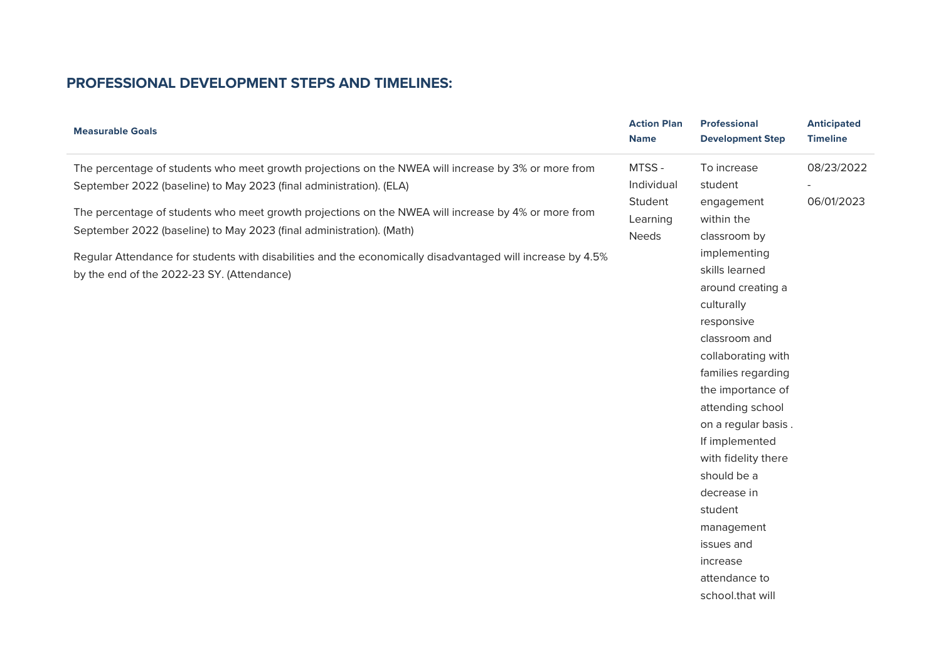| <b>Measurable Goals</b>                                                                                    | <b>Action Plan</b><br><b>Name</b> | Professional<br><b>Development Step</b> | <b>Anticipated</b><br><b>Timeline</b> |
|------------------------------------------------------------------------------------------------------------|-----------------------------------|-----------------------------------------|---------------------------------------|
| The percentage of students who meet growth projections on the NWEA will increase by 3% or more from        | MTSS-                             | To increase                             | 08/23/2022                            |
| September 2022 (baseline) to May 2023 (final administration). (ELA)                                        | Individual                        | student                                 |                                       |
| The percentage of students who meet growth projections on the NWEA will increase by 4% or more from        | Student                           | engagement                              | 06/01/2023                            |
| September 2022 (baseline) to May 2023 (final administration). (Math)                                       | Learning                          | within the                              |                                       |
|                                                                                                            | <b>Needs</b>                      | classroom by                            |                                       |
| Regular Attendance for students with disabilities and the economically disadvantaged will increase by 4.5% |                                   | implementing                            |                                       |
| by the end of the 2022-23 SY. (Attendance)                                                                 |                                   | skills learned                          |                                       |
|                                                                                                            |                                   | around creating a                       |                                       |
|                                                                                                            |                                   | culturally                              |                                       |
|                                                                                                            |                                   | responsive                              |                                       |
|                                                                                                            |                                   | classroom and                           |                                       |
|                                                                                                            |                                   | collaborating with                      |                                       |
|                                                                                                            |                                   | families regarding                      |                                       |
|                                                                                                            |                                   | the importance of                       |                                       |
|                                                                                                            |                                   | attending school                        |                                       |
|                                                                                                            |                                   | on a regular basis.                     |                                       |
|                                                                                                            |                                   | If implemented                          |                                       |
|                                                                                                            |                                   | with fidelity there                     |                                       |
|                                                                                                            |                                   | should be a                             |                                       |
|                                                                                                            |                                   | decrease in                             |                                       |
|                                                                                                            |                                   | student                                 |                                       |
|                                                                                                            |                                   | management                              |                                       |
|                                                                                                            |                                   | issues and                              |                                       |
|                                                                                                            |                                   | increase                                |                                       |
|                                                                                                            |                                   | attendance to                           |                                       |
|                                                                                                            |                                   | school.that will                        |                                       |
|                                                                                                            |                                   |                                         |                                       |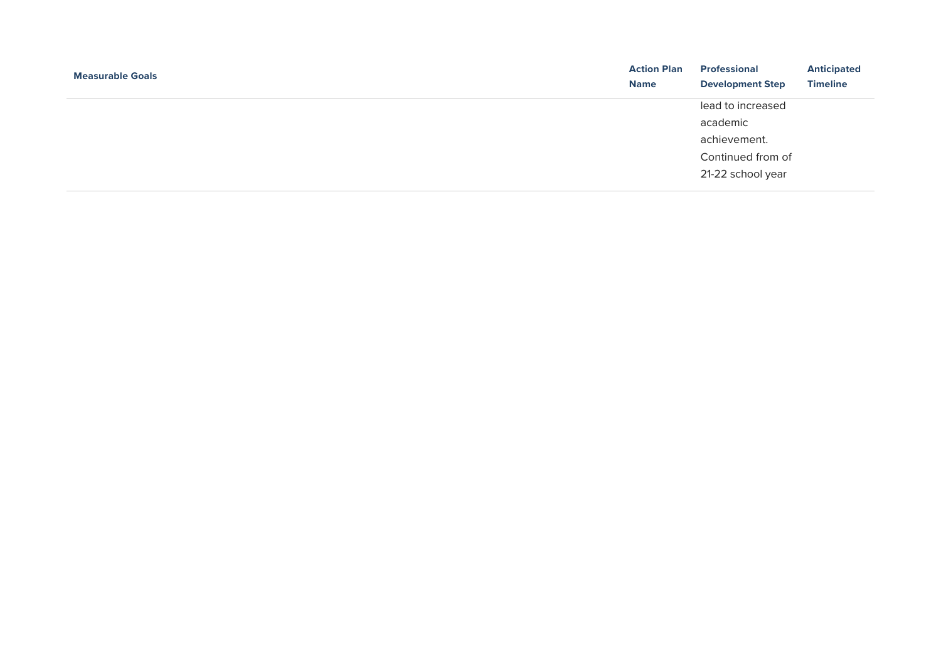| <b>Measurable Goals</b> | <b>Action Plan</b><br><b>Name</b> | <b>Professional</b><br><b>Development Step</b> | <b>Anticipated</b><br><b>Timeline</b> |
|-------------------------|-----------------------------------|------------------------------------------------|---------------------------------------|
|                         |                                   | lead to increased                              |                                       |
|                         |                                   | academic                                       |                                       |
|                         |                                   | achievement.                                   |                                       |
|                         |                                   | Continued from of                              |                                       |
|                         |                                   | 21-22 school year                              |                                       |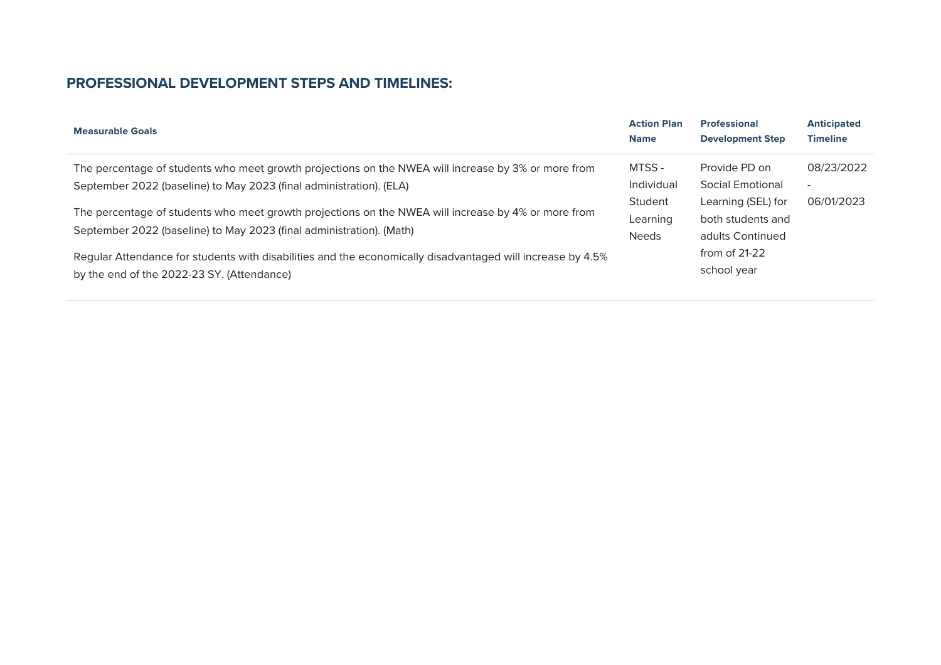| <b>Measurable Goals</b>                                                                                                                                                     | <b>Action Plan</b><br><b>Name</b>   | <b>Professional</b><br><b>Development Step</b>              | <b>Anticipated</b><br><b>Timeline</b> |
|-----------------------------------------------------------------------------------------------------------------------------------------------------------------------------|-------------------------------------|-------------------------------------------------------------|---------------------------------------|
| The percentage of students who meet growth projections on the NWEA will increase by 3% or more from                                                                         | MTSS -                              | Provide PD on                                               | 08/23/2022                            |
| September 2022 (baseline) to May 2023 (final administration). (ELA)                                                                                                         | Individual                          | <b>Social Emotional</b>                                     | $\overline{\phantom{a}}$              |
| The percentage of students who meet growth projections on the NWEA will increase by 4% or more from<br>September 2022 (baseline) to May 2023 (final administration). (Math) | Student<br>Learning<br><b>Needs</b> | Learning (SEL) for<br>both students and<br>adults Continued | 06/01/2023                            |
| Regular Attendance for students with disabilities and the economically disadvantaged will increase by 4.5%<br>by the end of the 2022-23 SY. (Attendance)                    |                                     | from of $21-22$<br>school year                              |                                       |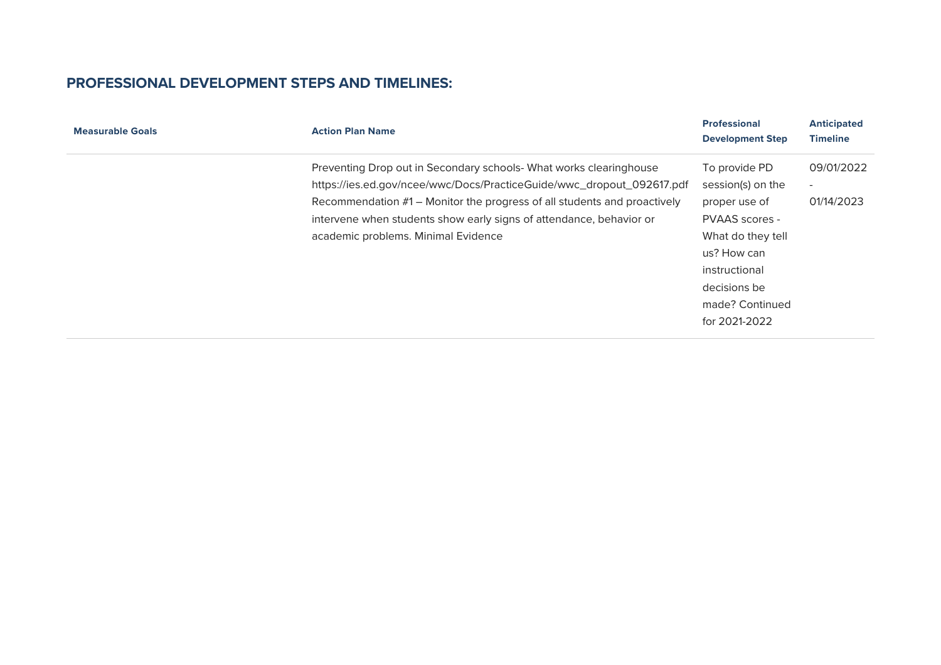| <b>Measurable Goals</b> | <b>Action Plan Name</b>                                                                                                                                                                                                                                                                                                               | <b>Professional</b><br><b>Development Step</b>                                                                                                                                        | <b>Anticipated</b><br><b>Timeline</b>                |
|-------------------------|---------------------------------------------------------------------------------------------------------------------------------------------------------------------------------------------------------------------------------------------------------------------------------------------------------------------------------------|---------------------------------------------------------------------------------------------------------------------------------------------------------------------------------------|------------------------------------------------------|
|                         | Preventing Drop out in Secondary schools- What works clearinghouse<br>https://ies.ed.gov/ncee/wwc/Docs/PracticeGuide/wwc_dropout_092617.pdf<br>Recommendation #1 – Monitor the progress of all students and proactively<br>intervene when students show early signs of attendance, behavior or<br>academic problems. Minimal Evidence | To provide PD<br>session(s) on the<br>proper use of<br><b>PVAAS</b> scores -<br>What do they tell<br>us? How can<br>instructional<br>decisions be<br>made? Continued<br>for 2021-2022 | 09/01/2022<br>$\overline{\phantom{a}}$<br>01/14/2023 |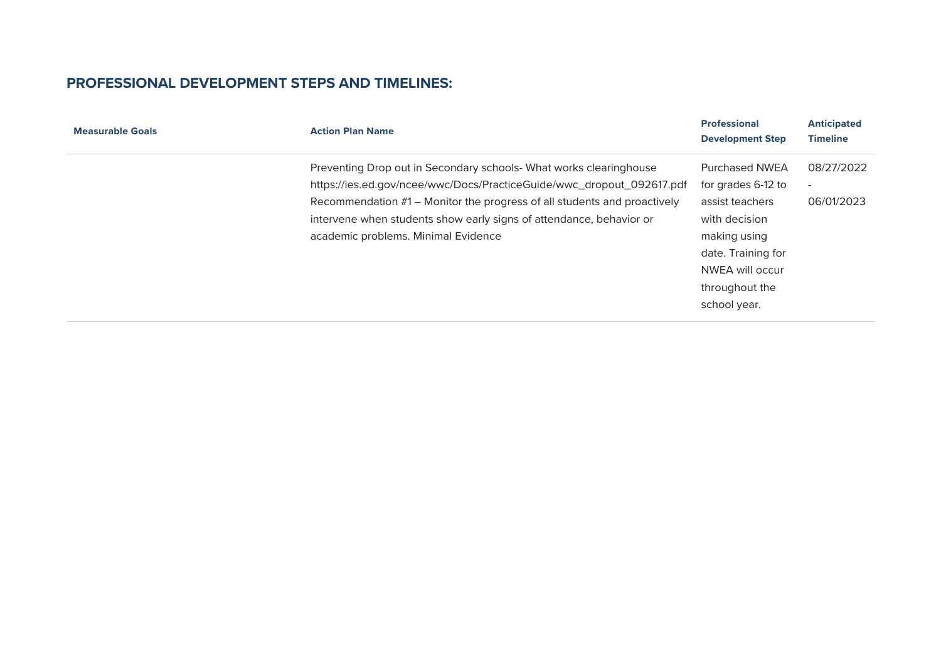| <b>Action Plan Name</b>                                                  | <b>Professional</b><br><b>Development Step</b> | <b>Anticipated</b><br><b>Timeline</b> |
|--------------------------------------------------------------------------|------------------------------------------------|---------------------------------------|
| Preventing Drop out in Secondary schools- What works clearinghouse       | Purchased NWEA                                 | 08/27/2022                            |
| https://ies.ed.gov/ncee/wwc/Docs/PracticeGuide/wwc_dropout_092617.pdf    | for grades 6-12 to                             |                                       |
| Recommendation #1 – Monitor the progress of all students and proactively | assist teachers                                | 06/01/2023                            |
| intervene when students show early signs of attendance, behavior or      | with decision                                  |                                       |
| academic problems. Minimal Evidence                                      | making using                                   |                                       |
|                                                                          | date. Training for                             |                                       |
|                                                                          | NWEA will occur                                |                                       |
|                                                                          | throughout the                                 |                                       |
|                                                                          | school year.                                   |                                       |
|                                                                          |                                                |                                       |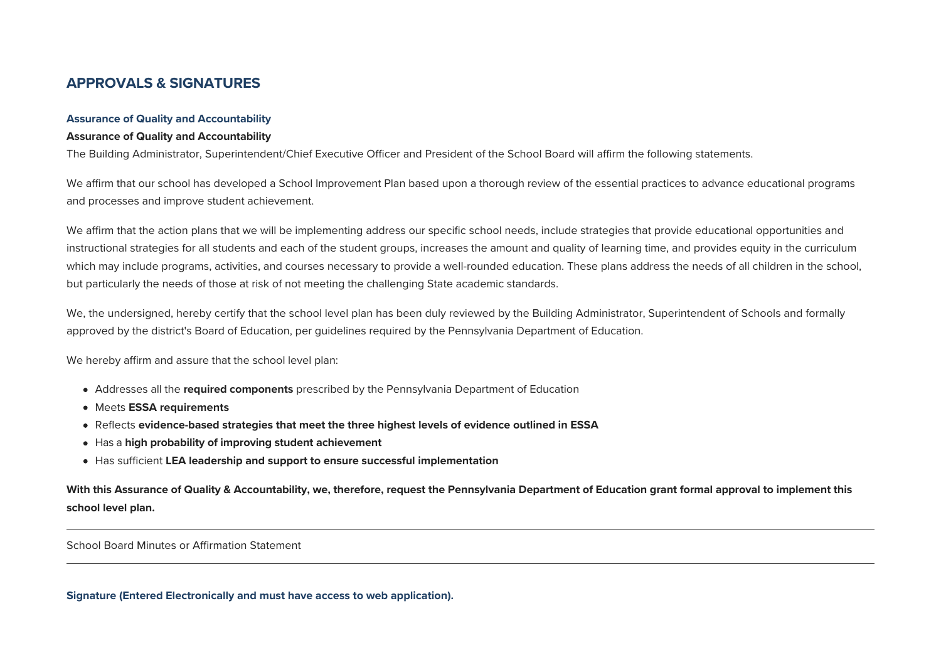### **APPROVALS & SIGNATURES**

#### **Assurance of Quality and Accountability**

#### **Assurance of Quality and Accountability**

The Building Administrator, Superintendent/Chief Executive Officer and President of the School Board will affirm the following statements.

We affirm that our school has developed a School Improvement Plan based upon a thorough review of the essential practices to advance educational programs and processes and improve student achievement.

We affirm that the action plans that we will be implementing address our specific school needs, include strategies that provide educational opportunities and instructional strategies for all students and each of the student groups, increases the amount and quality of learning time, and provides equity in the curriculum which may include programs, activities, and courses necessary to provide a well-rounded education. These plans address the needs of all children in the school, but particularly the needs of those at risk of not meeting the challenging State academic standards.

We, the undersigned, hereby certify that the school level plan has been duly reviewed by the Building Administrator, Superintendent of Schools and formally approved by the district's Board of Education, per quidelines required by the Pennsylvania Department of Education.

We hereby affirm and assure that the school level plan:

- Addresses all the *required components* prescribed by the Pennsylvania Department of Education
- **Meets ESSA requirements**
- Reflects evidence-based strategies that meet the three highest levels of evidence outlined in ESSA
- Has a high probability of improving student achievement
- Has sufficient **LA leadership and support to ensure successful implementation**

With this Assurance of Quality & Accountability, we, therefore, request the Pennsylvania Department of Education grant formal approval to implement this **school level plan.**

School Board Minutes or Affirmation Statement

**Signature (Entered Electronically and must have access to web application).**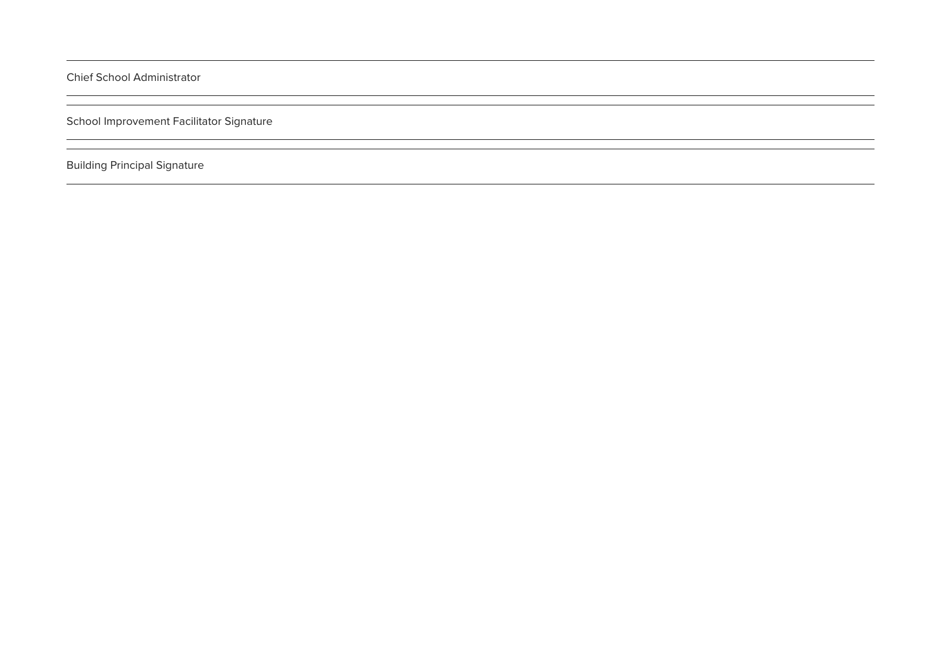Chief School Administrator

School Improvement Facilitator Signature

**Building Principal Signature**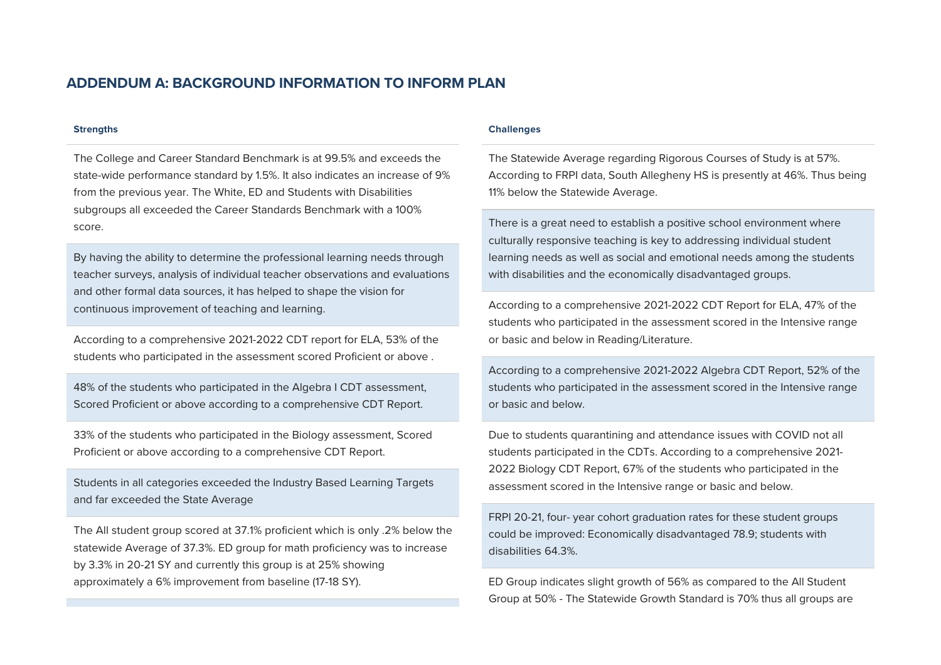### **ADDENDUM A: BACKGROUND INFORMATION TO INFORM PLAN**

#### **Strengths**

The College and Career Standard Benchmark is at 99.5% and exceeds the state-wide performance standard by 1.5%. It also indicates an increase of 9% from the previous year. The White, ED and Students with Disabilities subgroups all exceeded the Career Standards Benchmark with a 100% score.

By having the ability to determine the professional learning needs through teacher surveys, analysis of individual teacher observations and evaluations and other formal data sources, it has helped to shape the vision for continuous improvement of teaching and learning.

According to a comprehensive 2021-2022 CDT report for LA, 53% of the students who participated in the assessment scored Proficient or above.

48% of the students who participated in the Algebra I CDT assessment, Scored Proficient or above according to a comprehensive CDT Report.

33% of the students who participated in the Biology assessment, Scored Proficient or above according to a comprehensive CDT Report.

Students in all categories exceeded the Industry Based Learning Targets and far exceeded the State Average

The All student group scored at 37.1% proficient which is only .2% below the statewide Average of 37.3%. ED group for math proficiency was to increase by 3.3% in 20-21 SY and currently this group is at 25% showing approximately a 6% improvement from baseline (17-18 SY).

#### **Challenges**

The Statewide Average regarding Rigorous Courses of Study is at 57%. According to FRPI data, South Allegheny HS is presently at 46%. Thus being 11% below the Statewide Average.

There is a great need to establish a positive school environment where culturally responsive teaching is key to addressing individual student learning needs as well as social and emotional needs among the students with disabilities and the economically disadvantaged groups.

According to a comprehensive 2021-2022 CDT Report for LA, 47% of the students who participated in the assessment scored in the Intensive range or basic and below in Reading/Literature.

According to a comprehensive 2021-2022 Algebra CDT Report, 52% of the students who participated in the assessment scored in the Intensive range or hasic and helow

Due to students quarantining and attendance issues with COVID not all students participated in the CDTs. According to a comprehensive 2021- 2022 Biology CDT Report, 67% of the students who participated in the assessment scored in the Intensive range or basic and below.

FRPI 20-21, four- year cohort graduation rates for these student groups could be improved: Economically disadvantaged 78.9; students with disabilities 64.3%

ED Group indicates slight growth of 56% as compared to the All Student Group at 50% - The Statewide Growth Standard is 70% thus all groups are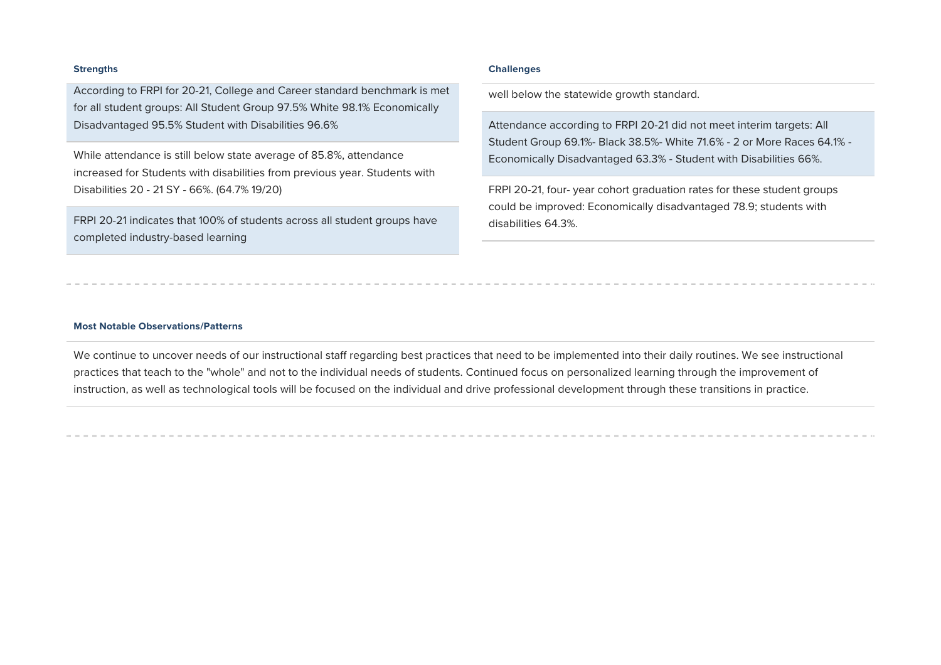According to FRPI for 20-21, College and Career standard benchmark is met for all student groups: All Student Group 97.5% White 98.1% Economically Disadvantaged 95.5% Student with Disabilities 96.6%

While attendance is still below state average of 85.8%, attendance increased for Students with disabilities from previous year. Students with Disabilities 20 - 21 SY - 66%. (64.7% 19/20)

FRPI 20-21 indicates that 100% of students across all student groups have completed industry-based learning

#### **trengths Challenges**

well below the statewide growth standard.

Attendance according to FRPI 20-21 did not meet interim targets: All Student Group 69.1%- Black 38.5%- White 71.6% - 2 or More Races 64.1% -Economically Disadvantaged 63.3% - Student with Disabilities 66%.

FRPI 20-21, four- year cohort graduation rates for these student groups could be improved: Economically disadvantaged 78.9; students with disabilities 64.3%.

#### **Most Notable Observations/Patterns**

We continue to uncover needs of our instructional staff regarding best practices that need to be implemented into their daily routines. We see instructional practices that teach to the "whole" and not to the individual needs of students. Continued focus on personalized learning through the improvement of instruction, as well as technological tools will be focused on the individual and drive professional development through these transitions in practice.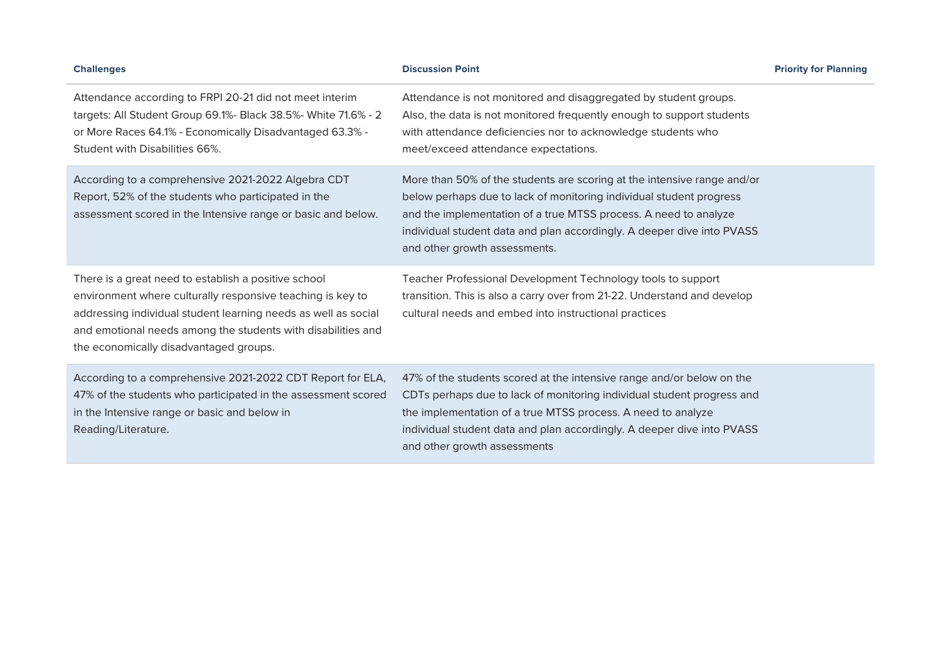| <b>Challenges</b>                                                                                                                                                                                                                                                                              | <b>Discussion Point</b>                                                                                                                                                                                                                                                                                                       | <b>Priority for Planning</b> |
|------------------------------------------------------------------------------------------------------------------------------------------------------------------------------------------------------------------------------------------------------------------------------------------------|-------------------------------------------------------------------------------------------------------------------------------------------------------------------------------------------------------------------------------------------------------------------------------------------------------------------------------|------------------------------|
| Attendance according to FRPI 20-21 did not meet interim<br>targets: All Student Group 69.1%- Black 38.5%- White 71.6% - 2<br>or More Races 64.1% - Economically Disadvantaged 63.3% -<br>Student with Disabilities 66%.                                                                        | Attendance is not monitored and disaggregated by student groups.<br>Also, the data is not monitored frequently enough to support students<br>with attendance deficiencies nor to acknowledge students who<br>meet/exceed attendance expectations.                                                                             |                              |
| According to a comprehensive 2021-2022 Algebra CDT<br>Report, 52% of the students who participated in the<br>assessment scored in the Intensive range or basic and below.                                                                                                                      | More than 50% of the students are scoring at the intensive range and/or<br>below perhaps due to lack of monitoring individual student progress<br>and the implementation of a true MTSS process. A need to analyze<br>individual student data and plan accordingly. A deeper dive into PVASS<br>and other growth assessments. |                              |
| There is a great need to establish a positive school<br>environment where culturally responsive teaching is key to<br>addressing individual student learning needs as well as social<br>and emotional needs among the students with disabilities and<br>the economically disadvantaged groups. | Teacher Professional Development Technology tools to support<br>transition. This is also a carry over from 21-22. Understand and develop<br>cultural needs and embed into instructional practices                                                                                                                             |                              |
| According to a comprehensive 2021-2022 CDT Report for ELA,<br>47% of the students who participated in the assessment scored<br>in the Intensive range or basic and below in<br>Reading/Literature.                                                                                             | 47% of the students scored at the intensive range and/or below on the<br>CDTs perhaps due to lack of monitoring individual student progress and<br>the implementation of a true MTSS process. A need to analyze<br>individual student data and plan accordingly. A deeper dive into PVASS<br>and other growth assessments     |                              |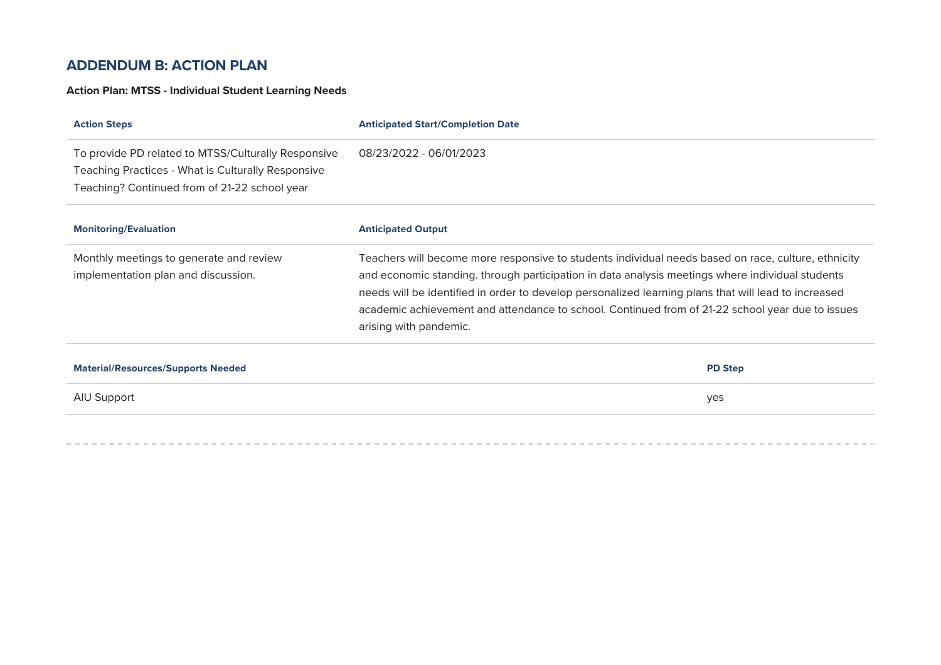### **ADDENDUM B: ACTION PLAN**

### **Action Plan: MTSS - Individual Student Learning Needs**

| <b>Action Steps</b>                                                                                                                                        | <b>Anticipated Start/Completion Date</b>                                                                                                                                                                                                                                                                                                                                                                                                      |
|------------------------------------------------------------------------------------------------------------------------------------------------------------|-----------------------------------------------------------------------------------------------------------------------------------------------------------------------------------------------------------------------------------------------------------------------------------------------------------------------------------------------------------------------------------------------------------------------------------------------|
| To provide PD related to MTSS/Culturally Responsive<br>Teaching Practices - What is Culturally Responsive<br>Teaching? Continued from of 21-22 school year | 08/23/2022 - 06/01/2023                                                                                                                                                                                                                                                                                                                                                                                                                       |
| <b>Monitoring/Evaluation</b>                                                                                                                               | <b>Anticipated Output</b>                                                                                                                                                                                                                                                                                                                                                                                                                     |
| Monthly meetings to generate and review<br>implementation plan and discussion.                                                                             | Teachers will become more responsive to students individual needs based on race, culture, ethnicity<br>and economic standing. through participation in data analysis meetings where individual students<br>needs will be identified in order to develop personalized learning plans that will lead to increased<br>academic achievement and attendance to school. Continued from of 21-22 school year due to issues<br>arising with pandemic. |
| <b>Material/Resources/Supports Needed</b>                                                                                                                  | <b>PD Step</b>                                                                                                                                                                                                                                                                                                                                                                                                                                |
| AIU Support                                                                                                                                                | yes                                                                                                                                                                                                                                                                                                                                                                                                                                           |
|                                                                                                                                                            |                                                                                                                                                                                                                                                                                                                                                                                                                                               |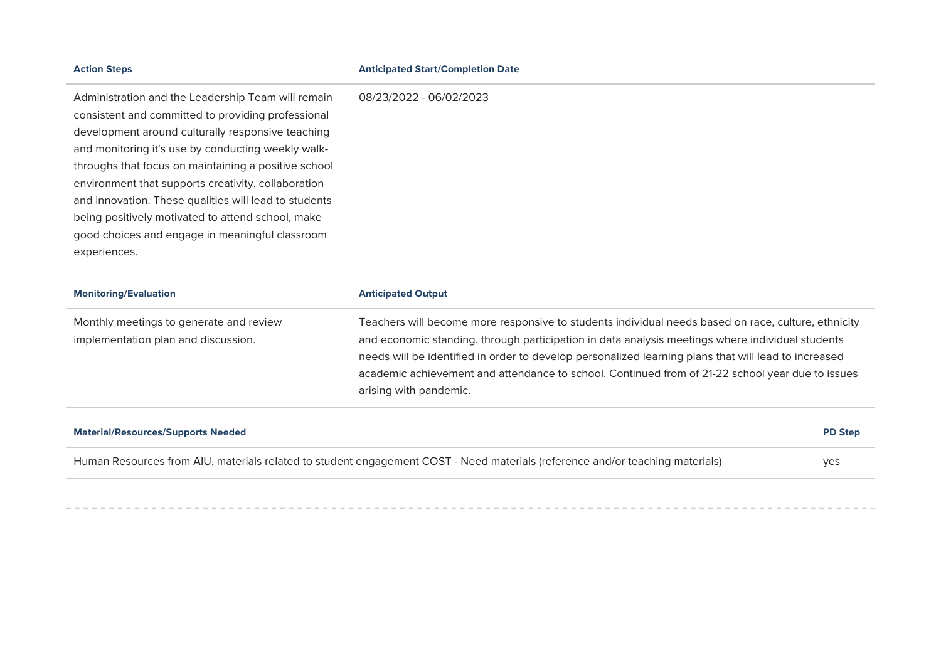| <b>Action Steps</b>                                   | <b>Anticipated Start/Completion Date</b> |
|-------------------------------------------------------|------------------------------------------|
| Administration and the Leadership Team will remain    | 08/23/2022 - 06/02/2023                  |
| consistent and committed to providing professional    |                                          |
| development around culturally responsive teaching     |                                          |
| and monitoring it's use by conducting weekly walk-    |                                          |
| throughs that focus on maintaining a positive school  |                                          |
| environment that supports creativity, collaboration   |                                          |
| and innovation. These qualities will lead to students |                                          |
| being positively motivated to attend school, make     |                                          |
| good choices and engage in meaningful classroom       |                                          |
| experiences.                                          |                                          |
|                                                       |                                          |

| <b>Monitoring/Evaluation</b>                                                   | <b>Anticipated Output</b>                                                                                                                                                                                                                                                                                                                                                                                                                     |
|--------------------------------------------------------------------------------|-----------------------------------------------------------------------------------------------------------------------------------------------------------------------------------------------------------------------------------------------------------------------------------------------------------------------------------------------------------------------------------------------------------------------------------------------|
| Monthly meetings to generate and review<br>implementation plan and discussion. | Teachers will become more responsive to students individual needs based on race, culture, ethnicity<br>and economic standing. through participation in data analysis meetings where individual students<br>needs will be identified in order to develop personalized learning plans that will lead to increased<br>academic achievement and attendance to school. Continued from of 21-22 school year due to issues<br>arising with pandemic. |

| <b>Material/Resources/Supports Needed</b>                                                                                     | <b>PD Step</b> |
|-------------------------------------------------------------------------------------------------------------------------------|----------------|
| Human Resources from AIU, materials related to student engagement COST - Need materials (reference and/or teaching materials) | yes            |
|                                                                                                                               |                |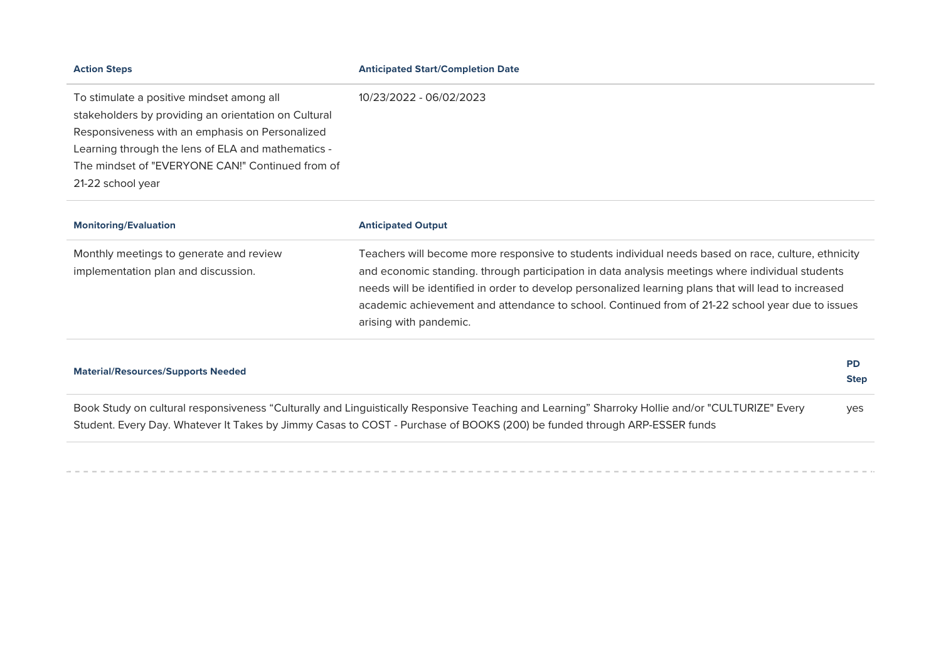| <b>Action Steps</b>                                                                                                                                                                                                                                                                 | <b>Anticipated Start/Completion Date</b>                                                                                                                                                                                                                                                                                                                                                                                                      |
|-------------------------------------------------------------------------------------------------------------------------------------------------------------------------------------------------------------------------------------------------------------------------------------|-----------------------------------------------------------------------------------------------------------------------------------------------------------------------------------------------------------------------------------------------------------------------------------------------------------------------------------------------------------------------------------------------------------------------------------------------|
| To stimulate a positive mindset among all<br>stakeholders by providing an orientation on Cultural<br>Responsiveness with an emphasis on Personalized<br>Learning through the lens of ELA and mathematics -<br>The mindset of "EVERYONE CAN!" Continued from of<br>21-22 school year | 10/23/2022 - 06/02/2023                                                                                                                                                                                                                                                                                                                                                                                                                       |
| <b>Monitoring/Evaluation</b>                                                                                                                                                                                                                                                        | <b>Anticipated Output</b>                                                                                                                                                                                                                                                                                                                                                                                                                     |
| Monthly meetings to generate and review<br>implementation plan and discussion.                                                                                                                                                                                                      | Teachers will become more responsive to students individual needs based on race, culture, ethnicity<br>and economic standing. through participation in data analysis meetings where individual students<br>needs will be identified in order to develop personalized learning plans that will lead to increased<br>academic achievement and attendance to school. Continued from of 21-22 school year due to issues<br>arising with pandemic. |
| <b>Material/Resources/Supports Needed</b>                                                                                                                                                                                                                                           | <b>PD</b><br><b>Step</b>                                                                                                                                                                                                                                                                                                                                                                                                                      |

Book Study on cultural responsiveness "Culturally and Linguistically Responsive Teaching and Learning" Sharroky Hollie and/or "CULTURIZE" Every Student. Every Day. Whatever It Takes by Jimmy Casas to COST - Purchase of BOOKS (200) be funded through ARP-ESSER funds yes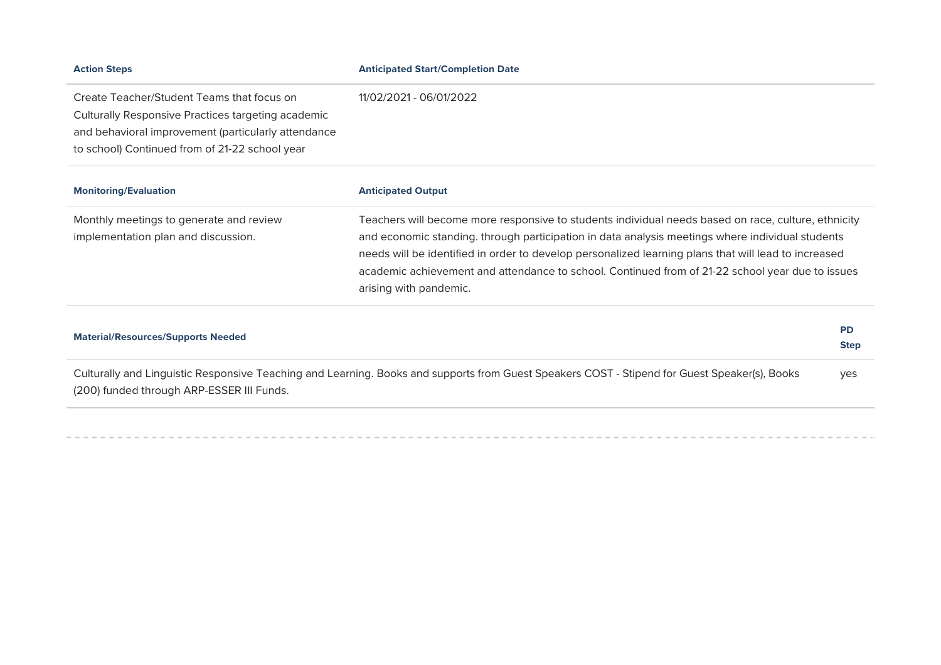| <b>Action Steps</b>                                 | <b>Anticipated Start/Completion Date</b>                                                             |
|-----------------------------------------------------|------------------------------------------------------------------------------------------------------|
| Create Teacher/Student Teams that focus on          | 11/02/2021 - 06/01/2022                                                                              |
| Culturally Responsive Practices targeting academic  |                                                                                                      |
| and behavioral improvement (particularly attendance |                                                                                                      |
| to school) Continued from of 21-22 school year      |                                                                                                      |
| <b>Monitoring/Evaluation</b>                        | <b>Anticipated Output</b>                                                                            |
| Monthly meetings to generate and review             | Teachers will become more responsive to students individual needs based on race, culture, ethnicity  |
| implementation plan and discussion.                 | and economic standing, through participation in data analysis meetings where individual students     |
|                                                     | needs will be identified in order to develop personalized learning plans that will lead to increased |
|                                                     | academic achievement and attendance to school. Continued from of 21-22 school year due to issues     |
|                                                     | arising with pandemic.                                                                               |

| <b>Material/Resources/Supports Needed</b>                                                                                                                                                  | <b>PD</b><br><b>Step</b> |
|--------------------------------------------------------------------------------------------------------------------------------------------------------------------------------------------|--------------------------|
| Culturally and Linguistic Responsive Teaching and Learning. Books and supports from Guest Speakers COST - Stipend for Guest Speaker(s), Books<br>(200) funded through ARP-ESSER III Funds. | <b>ves</b>               |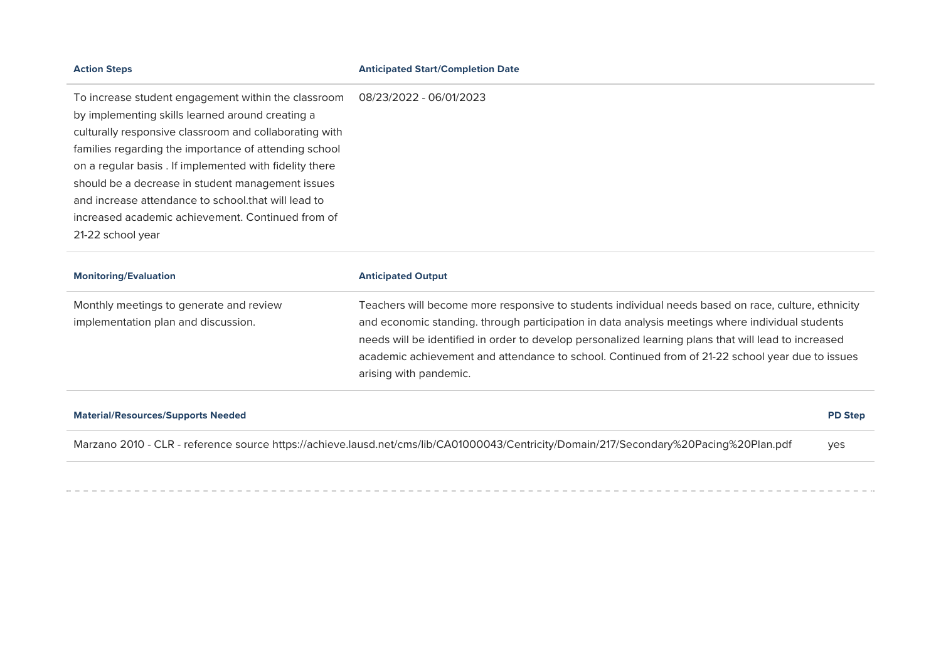#### **Action teps Anticipated tart/Completion Date**

To increase student engagement within the classroom 08/23/2022 - 06/01/2023 by implementing skills learned around creating a culturally responsive classroom and collaborating with families regarding the importance of attending school on a regular basis . If implemented with fidelity there should be a decrease in student management issues and increase attendance to school.that will lead to increased academic achievement. Continued from of 21-22 school year

| <b>Monitoring/Evaluation</b>                                                   | <b>Anticipated Output</b>                                                                                                                                                                                                                                                                                                                                                                                                                     |
|--------------------------------------------------------------------------------|-----------------------------------------------------------------------------------------------------------------------------------------------------------------------------------------------------------------------------------------------------------------------------------------------------------------------------------------------------------------------------------------------------------------------------------------------|
| Monthly meetings to generate and review<br>implementation plan and discussion. | Teachers will become more responsive to students individual needs based on race, culture, ethnicity<br>and economic standing. through participation in data analysis meetings where individual students<br>needs will be identified in order to develop personalized learning plans that will lead to increased<br>academic achievement and attendance to school. Continued from of 21-22 school year due to issues<br>arising with pandemic. |
|                                                                                |                                                                                                                                                                                                                                                                                                                                                                                                                                               |

| <b>Material/Resources/Supports Needed</b>                                                                                              | <b>PD Step</b> |
|----------------------------------------------------------------------------------------------------------------------------------------|----------------|
| Marzano 2010 - CLR - reference source https://achieve.lausd.net/cms/lib/CA01000043/Centricity/Domain/217/Secondary%20Pacing%20Plan.pdf | <b>ves</b>     |
|                                                                                                                                        |                |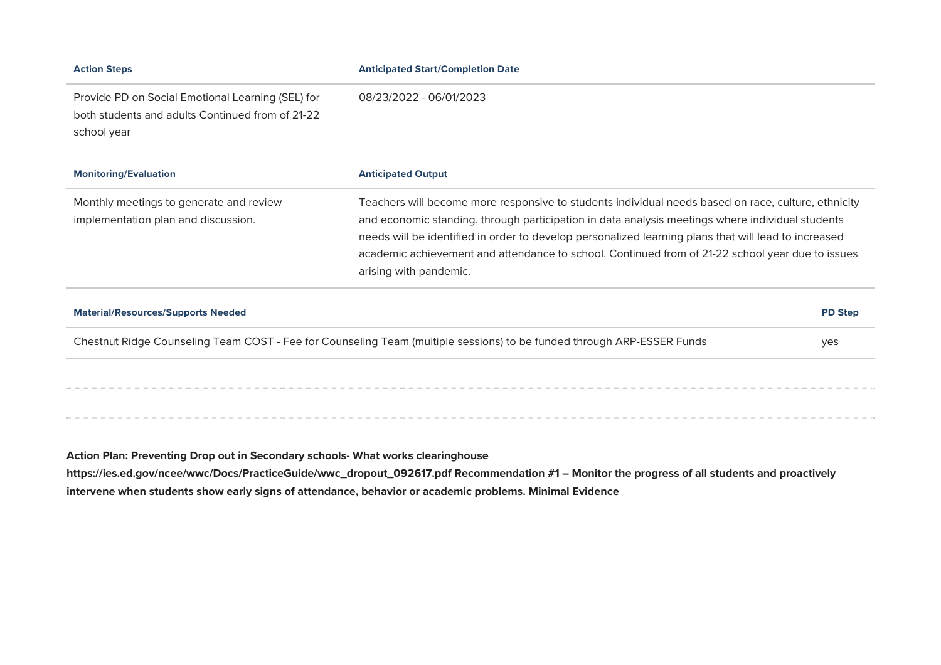| <b>Action Steps</b>                                                                                                  | <b>Anticipated Start/Completion Date</b>                                                                                                                                                                                                                                                                                                                                                                                                      |
|----------------------------------------------------------------------------------------------------------------------|-----------------------------------------------------------------------------------------------------------------------------------------------------------------------------------------------------------------------------------------------------------------------------------------------------------------------------------------------------------------------------------------------------------------------------------------------|
| Provide PD on Social Emotional Learning (SEL) for<br>both students and adults Continued from of 21-22<br>school year | 08/23/2022 - 06/01/2023                                                                                                                                                                                                                                                                                                                                                                                                                       |
| <b>Monitoring/Evaluation</b>                                                                                         | <b>Anticipated Output</b>                                                                                                                                                                                                                                                                                                                                                                                                                     |
| Monthly meetings to generate and review<br>implementation plan and discussion.                                       | Teachers will become more responsive to students individual needs based on race, culture, ethnicity<br>and economic standing. through participation in data analysis meetings where individual students<br>needs will be identified in order to develop personalized learning plans that will lead to increased<br>academic achievement and attendance to school. Continued from of 21-22 school year due to issues<br>arising with pandemic. |
| <b>Material/Resources/Supports Needed</b>                                                                            | <b>PD Step</b>                                                                                                                                                                                                                                                                                                                                                                                                                                |
|                                                                                                                      | Chestnut Ridge Counseling Team COST - Fee for Counseling Team (multiple sessions) to be funded through ARP-ESSER Funds<br>yes                                                                                                                                                                                                                                                                                                                 |
|                                                                                                                      |                                                                                                                                                                                                                                                                                                                                                                                                                                               |
|                                                                                                                      |                                                                                                                                                                                                                                                                                                                                                                                                                                               |

Action Plan: Preventing Drop out in Secondary schools- What works clearinghouse **https://ies.ed.gov/ncee/wwc/Docs/PracticeGuide/wwc\_dropout\_092617.pdf Recommendation #1 – Monitor the progress of all students and proactivel** intervene when students show early signs of attendance, behavior or academic problems. Minimal Evidence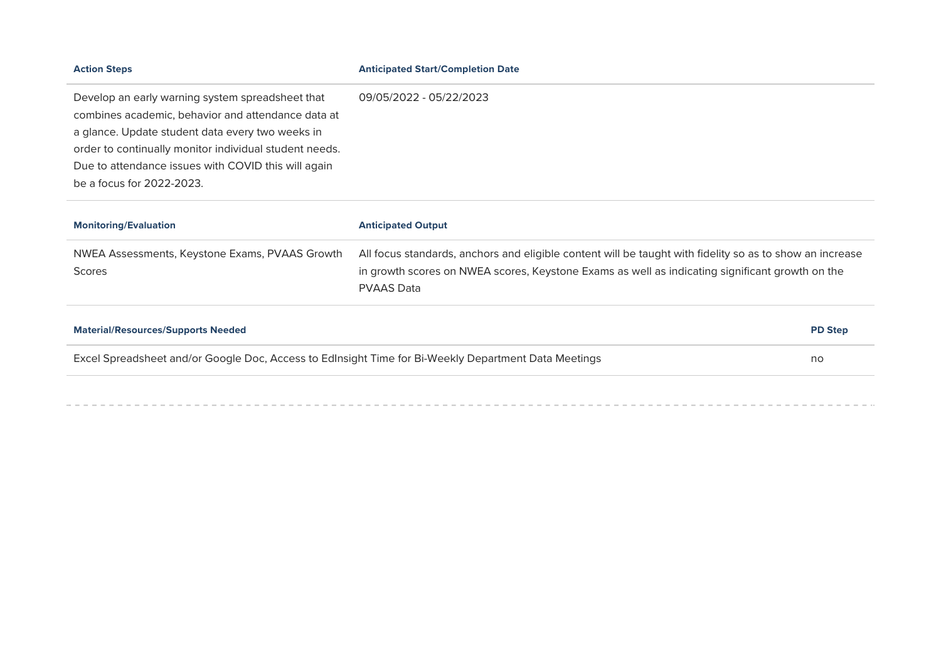| <b>Action Steps</b>                                                                                                                                                                                                                                                                                      | <b>Anticipated Start/Completion Date</b>                                                                                                                                                                                         |  |
|----------------------------------------------------------------------------------------------------------------------------------------------------------------------------------------------------------------------------------------------------------------------------------------------------------|----------------------------------------------------------------------------------------------------------------------------------------------------------------------------------------------------------------------------------|--|
| Develop an early warning system spreadsheet that<br>combines academic, behavior and attendance data at<br>a glance. Update student data every two weeks in<br>order to continually monitor individual student needs.<br>Due to attendance issues with COVID this will again<br>be a focus for 2022-2023. | 09/05/2022 - 05/22/2023                                                                                                                                                                                                          |  |
| <b>Monitoring/Evaluation</b>                                                                                                                                                                                                                                                                             | <b>Anticipated Output</b>                                                                                                                                                                                                        |  |
| NWEA Assessments, Keystone Exams, PVAAS Growth<br>Scores                                                                                                                                                                                                                                                 | All focus standards, anchors and eligible content will be taught with fidelity so as to show an increase<br>in growth scores on NWEA scores, Keystone Exams as well as indicating significant growth on the<br><b>PVAAS Data</b> |  |
| <b>Material/Resources/Supports Needed</b>                                                                                                                                                                                                                                                                | <b>PD Step</b>                                                                                                                                                                                                                   |  |
| Excel Spreadsheet and/or Google Doc, Access to Edlnsight Time for Bi-Weekly Department Data Meetings                                                                                                                                                                                                     | no                                                                                                                                                                                                                               |  |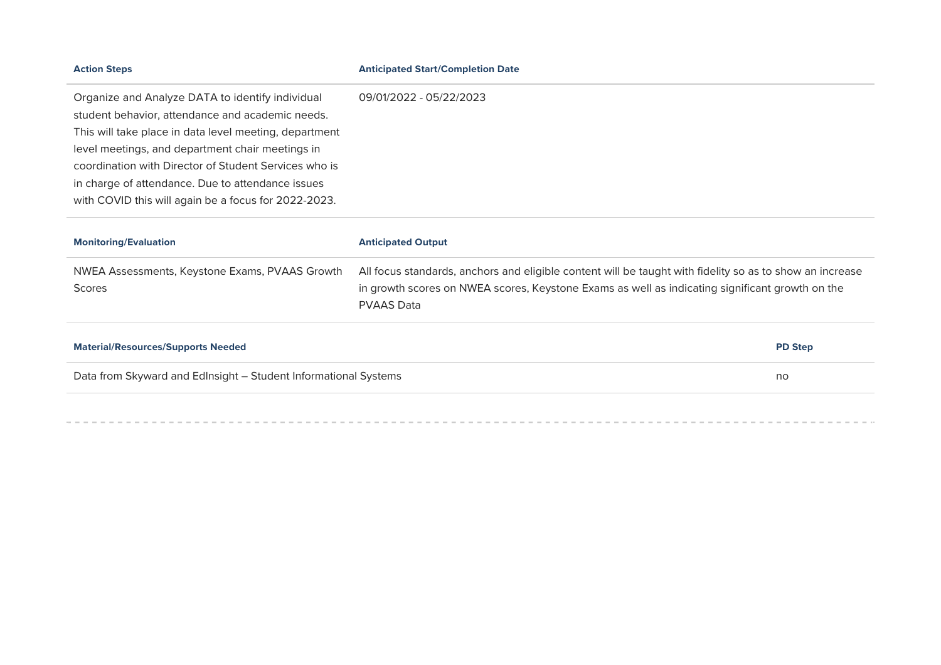| <b>Action Steps</b>                                                                                                                                                                                                                                                                                                                                                                      | <b>Anticipated Start/Completion Date</b>                                                                                                                                                                    |                |
|------------------------------------------------------------------------------------------------------------------------------------------------------------------------------------------------------------------------------------------------------------------------------------------------------------------------------------------------------------------------------------------|-------------------------------------------------------------------------------------------------------------------------------------------------------------------------------------------------------------|----------------|
| Organize and Analyze DATA to identify individual<br>student behavior, attendance and academic needs.<br>This will take place in data level meeting, department<br>level meetings, and department chair meetings in<br>coordination with Director of Student Services who is<br>in charge of attendance. Due to attendance issues<br>with COVID this will again be a focus for 2022-2023. | 09/01/2022 - 05/22/2023                                                                                                                                                                                     |                |
| <b>Monitoring/Evaluation</b>                                                                                                                                                                                                                                                                                                                                                             | <b>Anticipated Output</b>                                                                                                                                                                                   |                |
| NWEA Assessments, Keystone Exams, PVAAS Growth<br><b>Scores</b>                                                                                                                                                                                                                                                                                                                          | All focus standards, anchors and eligible content will be taught with fidelity so as to show an increase<br>in growth scores on NWEA scores, Keystone Exams as well as indicating significant growth on the |                |
|                                                                                                                                                                                                                                                                                                                                                                                          | <b>PVAAS Data</b>                                                                                                                                                                                           |                |
| <b>Material/Resources/Supports Needed</b>                                                                                                                                                                                                                                                                                                                                                |                                                                                                                                                                                                             | <b>PD Step</b> |
| Data from Skyward and Edlnsight - Student Informational Systems                                                                                                                                                                                                                                                                                                                          |                                                                                                                                                                                                             | no             |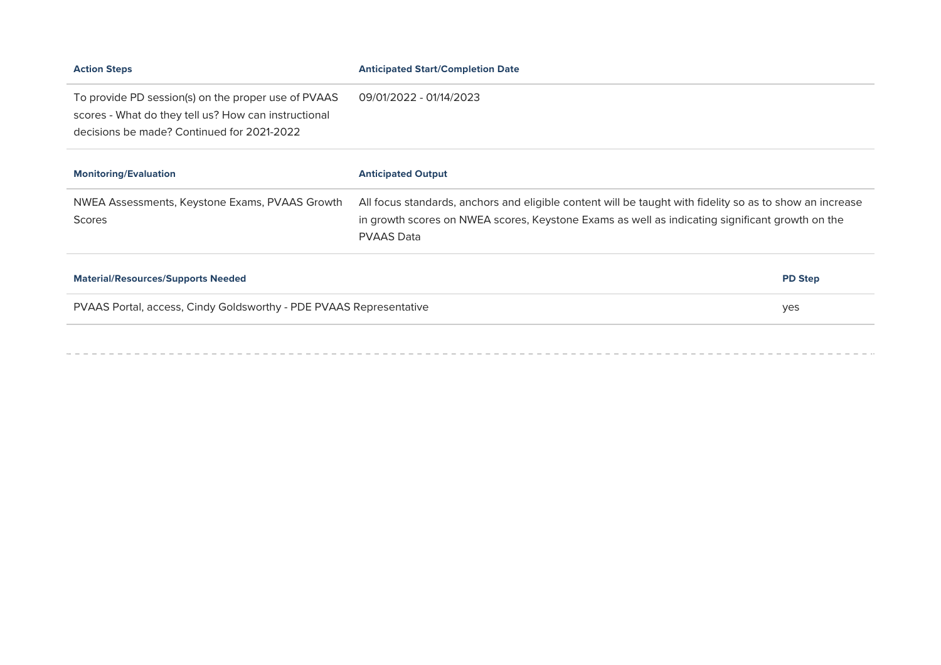| <b>Action Steps</b>                                                                                                                                       | <b>Anticipated Start/Completion Date</b>                                                                                                                                                                                         |  |
|-----------------------------------------------------------------------------------------------------------------------------------------------------------|----------------------------------------------------------------------------------------------------------------------------------------------------------------------------------------------------------------------------------|--|
| To provide PD session(s) on the proper use of PVAAS<br>scores - What do they tell us? How can instructional<br>decisions be made? Continued for 2021-2022 | 09/01/2022 - 01/14/2023                                                                                                                                                                                                          |  |
| <b>Monitoring/Evaluation</b>                                                                                                                              | <b>Anticipated Output</b>                                                                                                                                                                                                        |  |
| NWEA Assessments, Keystone Exams, PVAAS Growth<br><b>Scores</b>                                                                                           | All focus standards, anchors and eligible content will be taught with fidelity so as to show an increase<br>in growth scores on NWEA scores, Keystone Exams as well as indicating significant growth on the<br><b>PVAAS Data</b> |  |
|                                                                                                                                                           |                                                                                                                                                                                                                                  |  |
| <b>Material/Resources/Supports Needed</b>                                                                                                                 | <b>PD Step</b>                                                                                                                                                                                                                   |  |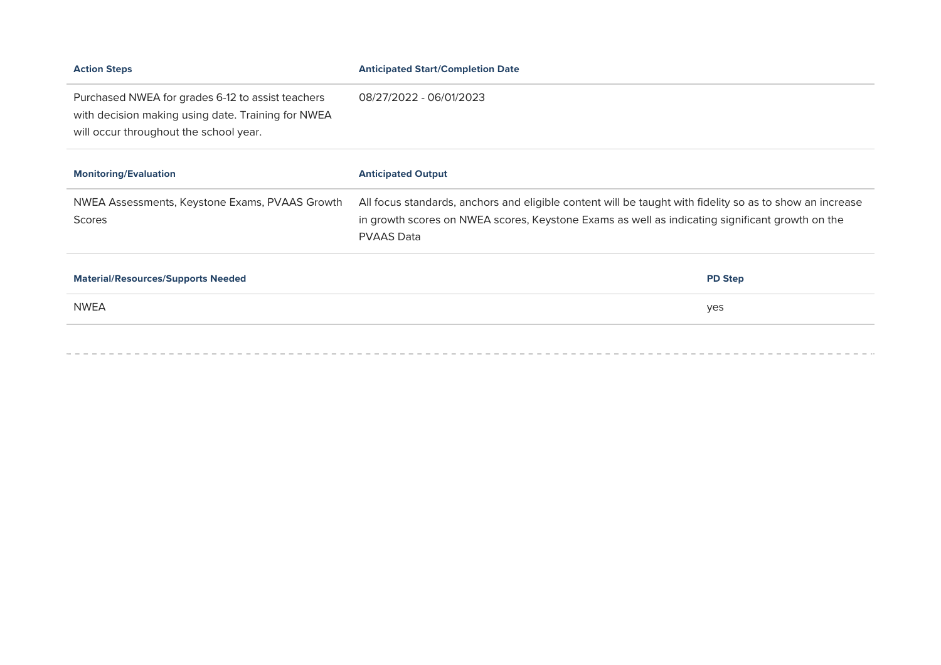| <b>Action Steps</b>                                                                                                                               | <b>Anticipated Start/Completion Date</b>                                                                                                                                                                                         |  |
|---------------------------------------------------------------------------------------------------------------------------------------------------|----------------------------------------------------------------------------------------------------------------------------------------------------------------------------------------------------------------------------------|--|
| Purchased NWEA for grades 6-12 to assist teachers<br>with decision making using date. Training for NWEA<br>will occur throughout the school year. | 08/27/2022 - 06/01/2023                                                                                                                                                                                                          |  |
| <b>Monitoring/Evaluation</b>                                                                                                                      | <b>Anticipated Output</b>                                                                                                                                                                                                        |  |
| NWEA Assessments, Keystone Exams, PVAAS Growth<br><b>Scores</b>                                                                                   | All focus standards, anchors and eligible content will be taught with fidelity so as to show an increase<br>in growth scores on NWEA scores, Keystone Exams as well as indicating significant growth on the<br><b>PVAAS Data</b> |  |
| <b>Material/Resources/Supports Needed</b>                                                                                                         | <b>PD Step</b>                                                                                                                                                                                                                   |  |
|                                                                                                                                                   |                                                                                                                                                                                                                                  |  |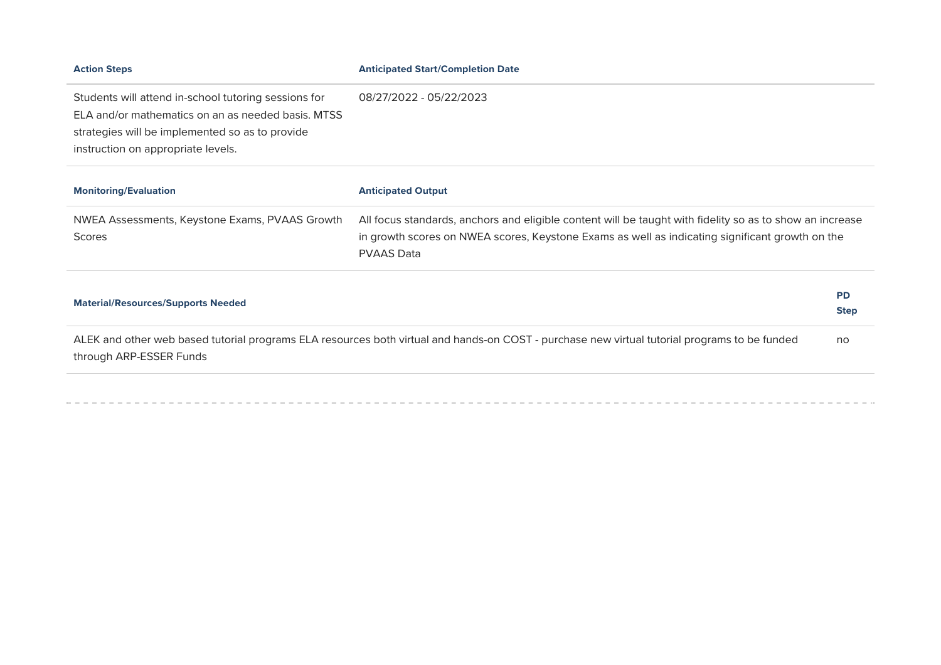| <b>Action Steps</b>                                  | <b>Anticipated Start/Completion Date</b>                                                                                                      |             |
|------------------------------------------------------|-----------------------------------------------------------------------------------------------------------------------------------------------|-------------|
| Students will attend in-school tutoring sessions for | 08/27/2022 - 05/22/2023                                                                                                                       |             |
| ELA and/or mathematics on an as needed basis. MTSS   |                                                                                                                                               |             |
| strategies will be implemented so as to provide      |                                                                                                                                               |             |
| instruction on appropriate levels.                   |                                                                                                                                               |             |
| <b>Monitoring/Evaluation</b>                         | <b>Anticipated Output</b>                                                                                                                     |             |
| NWEA Assessments, Keystone Exams, PVAAS Growth       | All focus standards, anchors and eligible content will be taught with fidelity so as to show an increase                                      |             |
| Scores                                               | in growth scores on NWEA scores, Keystone Exams as well as indicating significant growth on the                                               |             |
|                                                      | <b>PVAAS Data</b>                                                                                                                             |             |
| <b>Material/Resources/Supports Needed</b>            |                                                                                                                                               | <b>PD</b>   |
|                                                      |                                                                                                                                               | <b>Step</b> |
| through ARP-ESSER Funds                              | ALEK and other web based tutorial programs ELA resources both virtual and hands-on COST - purchase new virtual tutorial programs to be funded | no          |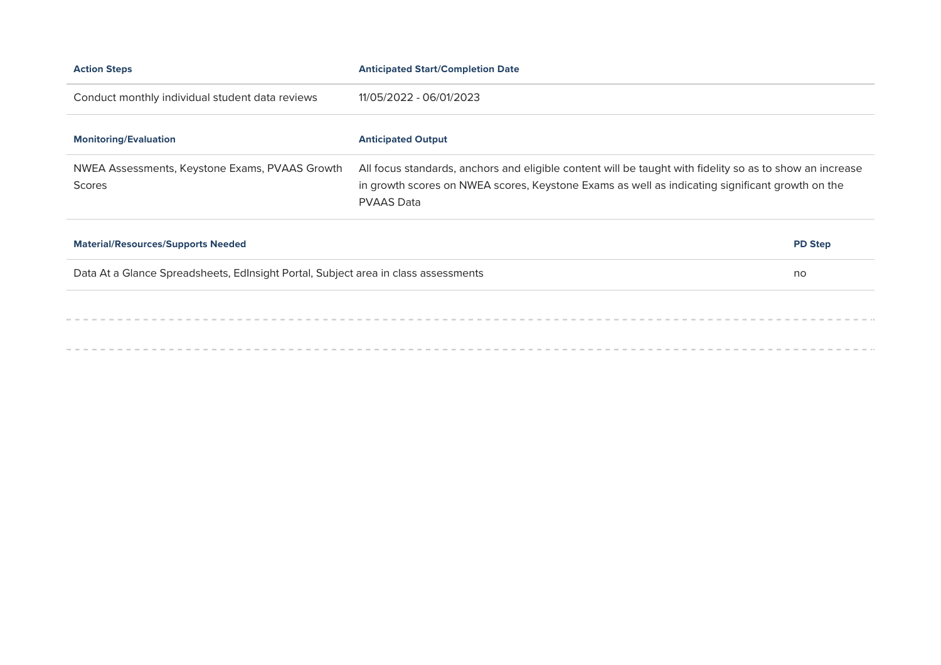| <b>Action Steps</b>                                                                | <b>Anticipated Start/Completion Date</b>                                                                                                                                                                                         |  |
|------------------------------------------------------------------------------------|----------------------------------------------------------------------------------------------------------------------------------------------------------------------------------------------------------------------------------|--|
| Conduct monthly individual student data reviews                                    | 11/05/2022 - 06/01/2023                                                                                                                                                                                                          |  |
| <b>Monitoring/Evaluation</b>                                                       | <b>Anticipated Output</b>                                                                                                                                                                                                        |  |
| NWEA Assessments, Keystone Exams, PVAAS Growth<br><b>Scores</b>                    | All focus standards, anchors and eligible content will be taught with fidelity so as to show an increase<br>in growth scores on NWEA scores, Keystone Exams as well as indicating significant growth on the<br><b>PVAAS Data</b> |  |
| <b>Material/Resources/Supports Needed</b>                                          | <b>PD Step</b>                                                                                                                                                                                                                   |  |
| Data At a Glance Spreadsheets, Edlnsight Portal, Subject area in class assessments | no                                                                                                                                                                                                                               |  |
|                                                                                    |                                                                                                                                                                                                                                  |  |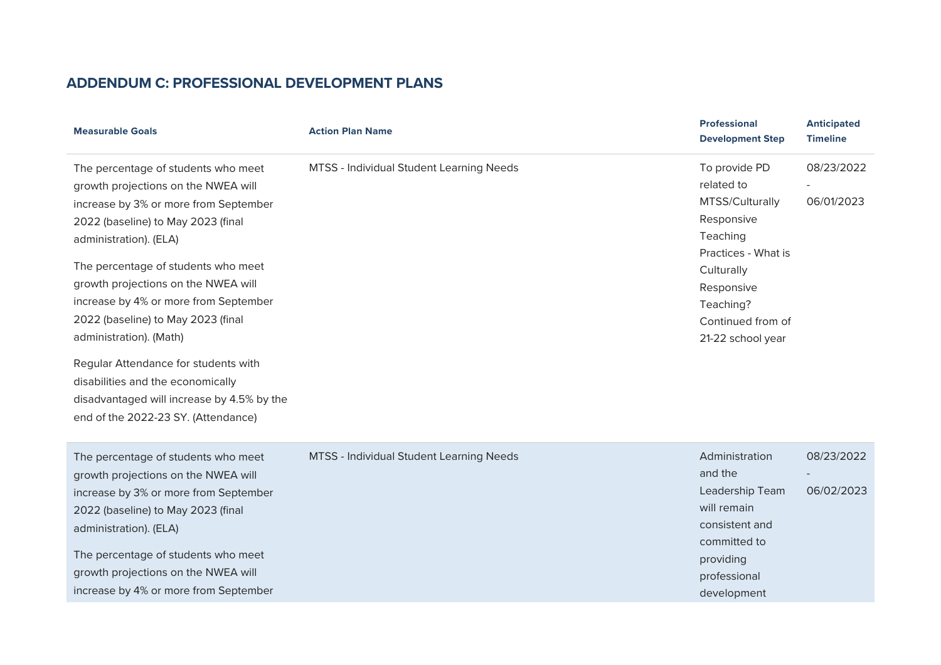# **ADDENDUM C: PROFESSIONAL DEVELOPMENT PLANS**

| <b>Measurable Goals</b>                                                                                                                                                                                                                                                                                                                                                     | <b>Action Plan Name</b>                  | <b>Professional</b><br><b>Development Step</b>                                                                                                                                     | <b>Anticipated</b><br><b>Timeline</b> |
|-----------------------------------------------------------------------------------------------------------------------------------------------------------------------------------------------------------------------------------------------------------------------------------------------------------------------------------------------------------------------------|------------------------------------------|------------------------------------------------------------------------------------------------------------------------------------------------------------------------------------|---------------------------------------|
| The percentage of students who meet<br>growth projections on the NWEA will<br>increase by 3% or more from September<br>2022 (baseline) to May 2023 (final<br>administration). (ELA)<br>The percentage of students who meet<br>growth projections on the NWEA will<br>increase by 4% or more from September<br>2022 (baseline) to May 2023 (final<br>administration). (Math) | MTSS - Individual Student Learning Needs | To provide PD<br>related to<br>MTSS/Culturally<br>Responsive<br>Teaching<br>Practices - What is<br>Culturally<br>Responsive<br>Teaching?<br>Continued from of<br>21-22 school year | 08/23/2022<br>06/01/2023              |
| Regular Attendance for students with<br>disabilities and the economically<br>disadvantaged will increase by 4.5% by the<br>end of the 2022-23 SY. (Attendance)                                                                                                                                                                                                              |                                          |                                                                                                                                                                                    |                                       |
| The percentage of students who meet<br>growth projections on the NWEA will<br>increase by 3% or more from September<br>2022 (baseline) to May 2023 (final<br>administration). (ELA)<br>The percentage of students who meet<br>growth projections on the NWEA will<br>increase by 4% or more from September                                                                  | MTSS - Individual Student Learning Needs | Administration<br>and the<br>Leadership Team<br>will remain<br>consistent and<br>committed to<br>providing<br>professional<br>development                                          | 08/23/2022<br>06/02/2023              |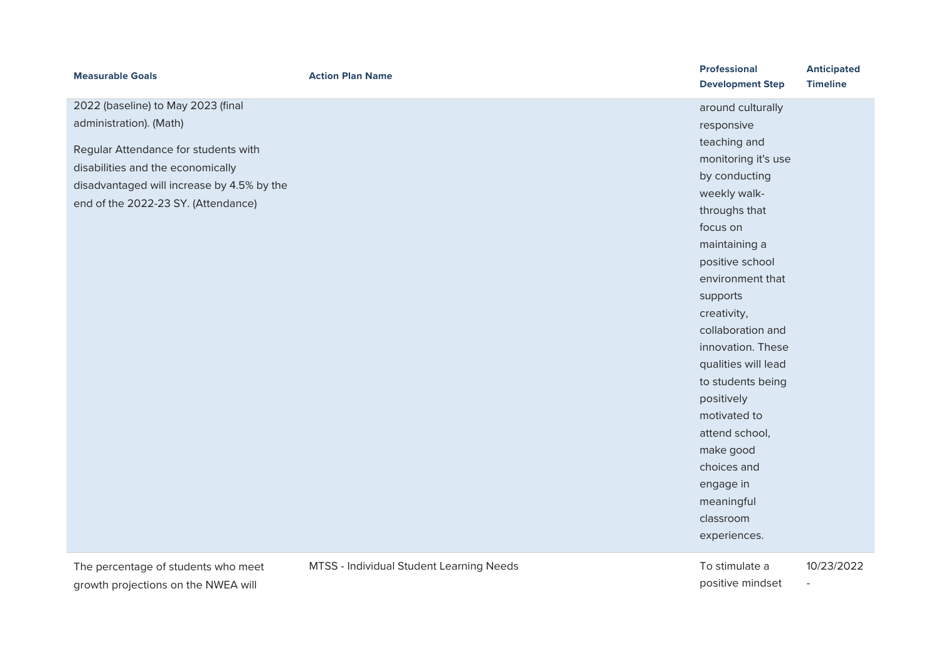| <b>Measurable Goals</b>                    | <b>Action Plan Name</b>                  | <b>Professional</b><br><b>Development Step</b> | <b>Anticipated</b><br><b>Timeline</b> |
|--------------------------------------------|------------------------------------------|------------------------------------------------|---------------------------------------|
| 2022 (baseline) to May 2023 (final         |                                          | around culturally                              |                                       |
| administration). (Math)                    |                                          | responsive                                     |                                       |
|                                            |                                          | teaching and                                   |                                       |
| Regular Attendance for students with       |                                          | monitoring it's use                            |                                       |
| disabilities and the economically          |                                          | by conducting                                  |                                       |
| disadvantaged will increase by 4.5% by the |                                          | weekly walk-                                   |                                       |
| end of the 2022-23 SY. (Attendance)        |                                          | throughs that                                  |                                       |
|                                            |                                          | focus on                                       |                                       |
|                                            |                                          | maintaining a                                  |                                       |
|                                            |                                          | positive school                                |                                       |
|                                            |                                          | environment that                               |                                       |
|                                            |                                          | supports                                       |                                       |
|                                            |                                          | creativity,                                    |                                       |
|                                            |                                          | collaboration and                              |                                       |
|                                            |                                          | innovation. These                              |                                       |
|                                            |                                          | qualities will lead                            |                                       |
|                                            |                                          | to students being                              |                                       |
|                                            |                                          | positively                                     |                                       |
|                                            |                                          | motivated to                                   |                                       |
|                                            |                                          | attend school,                                 |                                       |
|                                            |                                          | make good                                      |                                       |
|                                            |                                          | choices and                                    |                                       |
|                                            |                                          | engage in                                      |                                       |
|                                            |                                          | meaningful                                     |                                       |
|                                            |                                          | classroom                                      |                                       |
|                                            |                                          | experiences.                                   |                                       |
| The percentage of students who meet        | MTSS - Individual Student Learning Needs | To stimulate a                                 | 10/23/2022                            |

growth projections on the NWEA will

positive mindset

-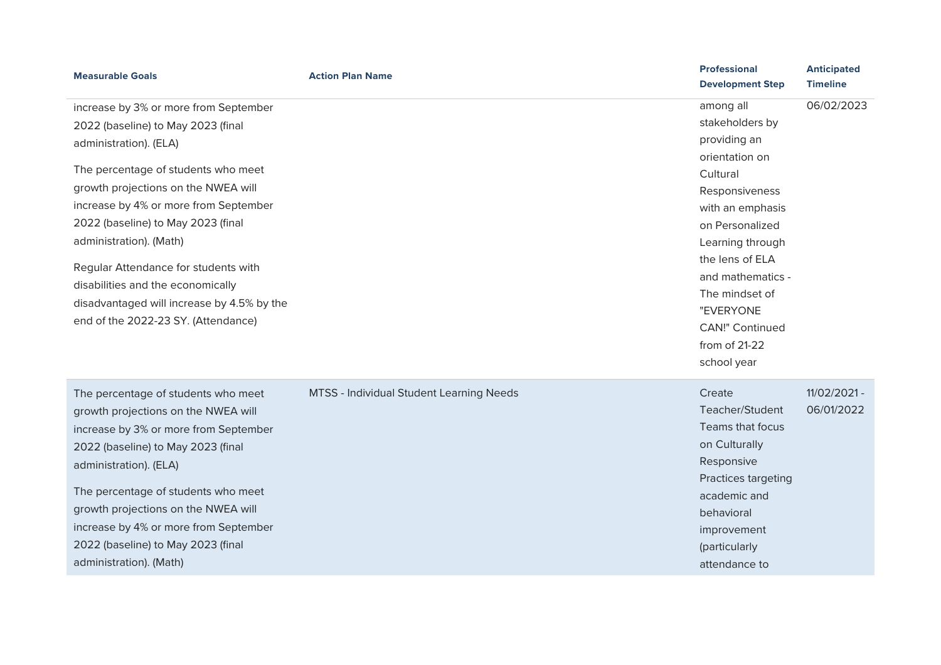| <b>Measurable Goals</b>                    | <b>Action Plan Name</b>                  | <b>Professional</b><br><b>Development Step</b> | <b>Anticipated</b><br><b>Timeline</b> |
|--------------------------------------------|------------------------------------------|------------------------------------------------|---------------------------------------|
| increase by 3% or more from September      |                                          | among all                                      | 06/02/2023                            |
| 2022 (baseline) to May 2023 (final         |                                          | stakeholders by                                |                                       |
| administration). (ELA)                     |                                          | providing an                                   |                                       |
|                                            |                                          | orientation on                                 |                                       |
| The percentage of students who meet        |                                          | Cultural                                       |                                       |
| growth projections on the NWEA will        |                                          | Responsiveness                                 |                                       |
| increase by 4% or more from September      |                                          | with an emphasis                               |                                       |
| 2022 (baseline) to May 2023 (final         |                                          | on Personalized                                |                                       |
| administration). (Math)                    |                                          | Learning through                               |                                       |
| Regular Attendance for students with       |                                          | the lens of ELA                                |                                       |
| disabilities and the economically          |                                          | and mathematics -                              |                                       |
| disadvantaged will increase by 4.5% by the |                                          | The mindset of                                 |                                       |
| end of the 2022-23 SY. (Attendance)        |                                          | "EVERYONE                                      |                                       |
|                                            |                                          | <b>CAN!" Continued</b>                         |                                       |
|                                            |                                          | from of 21-22                                  |                                       |
|                                            |                                          | school year                                    |                                       |
| The percentage of students who meet        | MTSS - Individual Student Learning Needs | Create                                         | 11/02/2021 -                          |
| growth projections on the NWEA will        |                                          | Teacher/Student                                | 06/01/2022                            |
| increase by 3% or more from September      |                                          | Teams that focus                               |                                       |
| 2022 (baseline) to May 2023 (final         |                                          | on Culturally                                  |                                       |
| administration). (ELA)                     |                                          | Responsive                                     |                                       |
|                                            |                                          | Practices targeting                            |                                       |
| The percentage of students who meet        |                                          | academic and                                   |                                       |
| growth projections on the NWEA will        |                                          | behavioral                                     |                                       |
| increase by 4% or more from September      |                                          | improvement                                    |                                       |
| 2022 (baseline) to May 2023 (final         |                                          | (particularly                                  |                                       |
| administration). (Math)                    |                                          | attendance to                                  |                                       |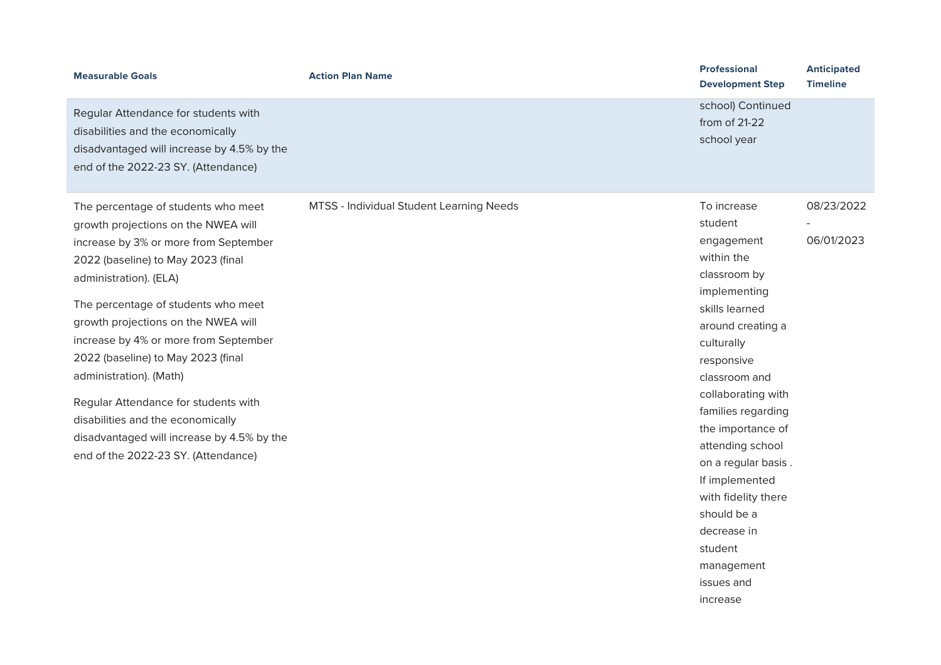| <b>Measurable Goals</b>                                                                                                                                                                                                                                                                                                                                                                                                                                                                                                                       | <b>Action Plan Name</b>                  | <b>Professional</b><br><b>Development Step</b>                                                                                                                                                                                                                                                                                                                                                               | <b>Anticipated</b><br><b>Timeline</b> |
|-----------------------------------------------------------------------------------------------------------------------------------------------------------------------------------------------------------------------------------------------------------------------------------------------------------------------------------------------------------------------------------------------------------------------------------------------------------------------------------------------------------------------------------------------|------------------------------------------|--------------------------------------------------------------------------------------------------------------------------------------------------------------------------------------------------------------------------------------------------------------------------------------------------------------------------------------------------------------------------------------------------------------|---------------------------------------|
| Regular Attendance for students with<br>disabilities and the economically<br>disadvantaged will increase by 4.5% by the<br>end of the 2022-23 SY. (Attendance)                                                                                                                                                                                                                                                                                                                                                                                |                                          | school) Continued<br>from of 21-22<br>school year                                                                                                                                                                                                                                                                                                                                                            |                                       |
| The percentage of students who meet<br>growth projections on the NWEA will<br>increase by 3% or more from September<br>2022 (baseline) to May 2023 (final<br>administration). (ELA)<br>The percentage of students who meet<br>growth projections on the NWEA will<br>increase by 4% or more from September<br>2022 (baseline) to May 2023 (final<br>administration). (Math)<br>Regular Attendance for students with<br>disabilities and the economically<br>disadvantaged will increase by 4.5% by the<br>end of the 2022-23 SY. (Attendance) | MTSS - Individual Student Learning Needs | To increase<br>student<br>engagement<br>within the<br>classroom by<br>implementing<br>skills learned<br>around creating a<br>culturally<br>responsive<br>classroom and<br>collaborating with<br>families regarding<br>the importance of<br>attending school<br>on a regular basis.<br>If implemented<br>with fidelity there<br>should be a<br>decrease in<br>student<br>management<br>issues and<br>increase | 08/23/2022<br>06/01/2023              |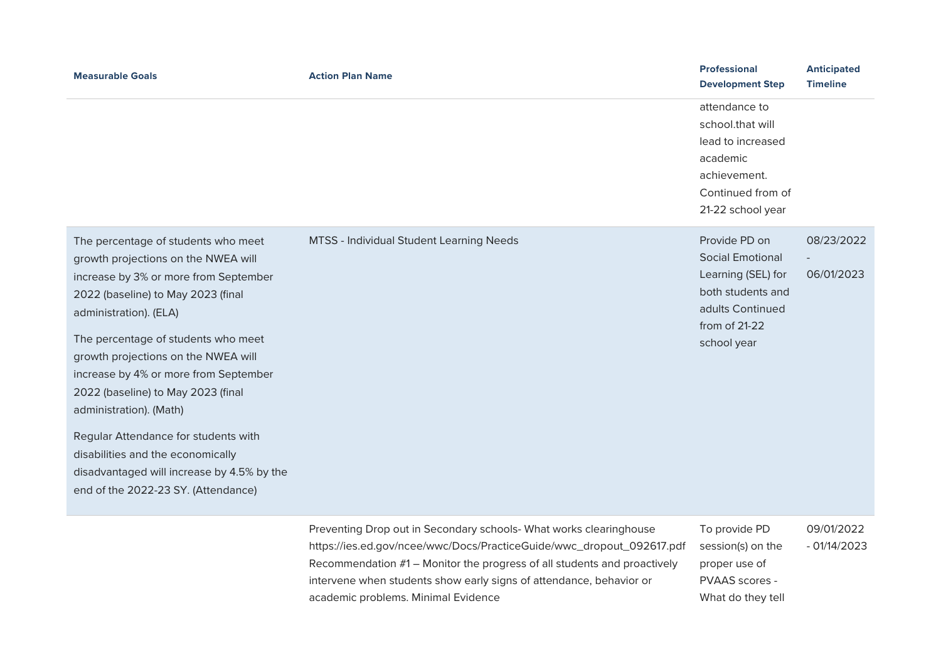| <b>Measurable Goals</b>                                                                                                                                                                                                                                                                                                                                                                                                                                                                                                                       | <b>Action Plan Name</b>                                                                                                                                                                                                 | <b>Professional</b><br><b>Development Step</b>                                                                                          | <b>Anticipated</b><br><b>Timeline</b> |
|-----------------------------------------------------------------------------------------------------------------------------------------------------------------------------------------------------------------------------------------------------------------------------------------------------------------------------------------------------------------------------------------------------------------------------------------------------------------------------------------------------------------------------------------------|-------------------------------------------------------------------------------------------------------------------------------------------------------------------------------------------------------------------------|-----------------------------------------------------------------------------------------------------------------------------------------|---------------------------------------|
|                                                                                                                                                                                                                                                                                                                                                                                                                                                                                                                                               |                                                                                                                                                                                                                         | attendance to<br>school.that will<br>lead to increased<br>academic<br>achievement.<br>Continued from of<br>21-22 school year            |                                       |
| The percentage of students who meet<br>growth projections on the NWEA will<br>increase by 3% or more from September<br>2022 (baseline) to May 2023 (final<br>administration). (ELA)<br>The percentage of students who meet<br>growth projections on the NWEA will<br>increase by 4% or more from September<br>2022 (baseline) to May 2023 (final<br>administration). (Math)<br>Regular Attendance for students with<br>disabilities and the economically<br>disadvantaged will increase by 4.5% by the<br>end of the 2022-23 SY. (Attendance) | MTSS - Individual Student Learning Needs                                                                                                                                                                                | Provide PD on<br><b>Social Emotional</b><br>Learning (SEL) for<br>both students and<br>adults Continued<br>from of 21-22<br>school year | 08/23/2022<br>06/01/2023              |
|                                                                                                                                                                                                                                                                                                                                                                                                                                                                                                                                               | Preventing Drop out in Secondary schools- What works clearinghouse<br>https://ies.ed.gov/ncee/wwc/Docs/PracticeGuide/wwc_dropout_092617.pdf<br>Recommendation #1 – Monitor the progress of all students and proactively | To provide PD<br>session(s) on the<br>proper use of                                                                                     | 09/01/2022<br>$-01/14/2023$           |

intervene when students show early signs of attendance, behavior or

academic problems. Minimal Evidence

PVAAS scores -What do they tell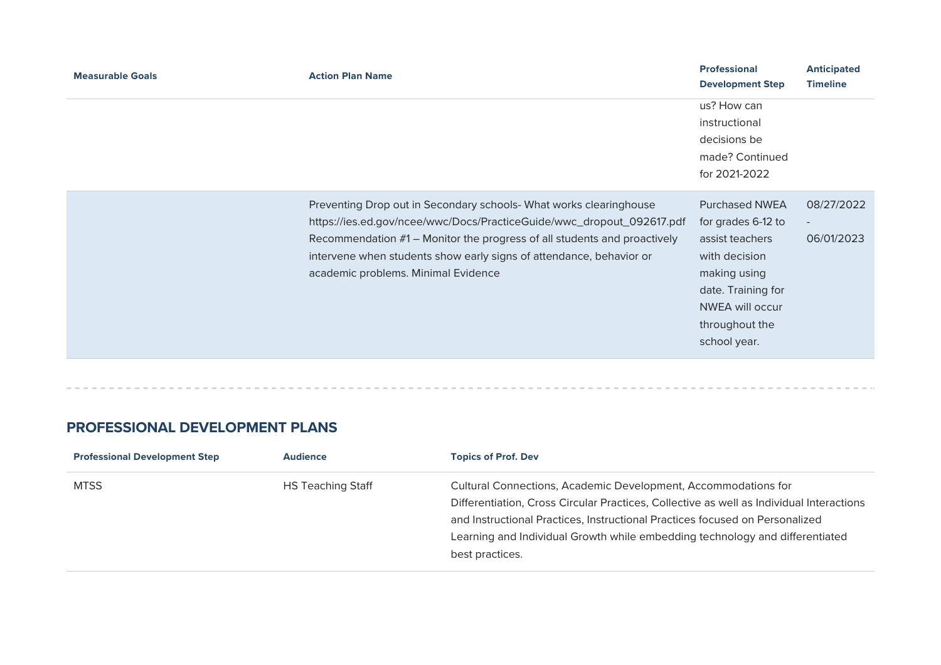| <b>Measurable Goals</b> | <b>Action Plan Name</b>                                                                                                                                                                                                                                                                                                               |                                                                                                                                                                                   | <b>Anticipated</b><br><b>Timeline</b> |
|-------------------------|---------------------------------------------------------------------------------------------------------------------------------------------------------------------------------------------------------------------------------------------------------------------------------------------------------------------------------------|-----------------------------------------------------------------------------------------------------------------------------------------------------------------------------------|---------------------------------------|
|                         |                                                                                                                                                                                                                                                                                                                                       | us? How can<br>instructional<br>decisions be<br>made? Continued<br>for 2021-2022                                                                                                  |                                       |
|                         | Preventing Drop out in Secondary schools- What works clearinghouse<br>https://ies.ed.gov/ncee/wwc/Docs/PracticeGuide/wwc_dropout_092617.pdf<br>Recommendation #1 – Monitor the progress of all students and proactively<br>intervene when students show early signs of attendance, behavior or<br>academic problems. Minimal Evidence | <b>Purchased NWEA</b><br>for grades 6-12 to<br>assist teachers<br>with decision<br>making using<br>date. Training for<br><b>NWEA will occur</b><br>throughout the<br>school year. | 08/27/2022<br>$\sim$<br>06/01/2023    |

### **PROFESSIONAL DEVELOPMENT PLANS**

| <b>Professional Development Step</b> | <b>Audience</b>          | <b>Topics of Prof. Dev</b>                                                                                                                                                                                                                                                                                                                    |
|--------------------------------------|--------------------------|-----------------------------------------------------------------------------------------------------------------------------------------------------------------------------------------------------------------------------------------------------------------------------------------------------------------------------------------------|
| <b>MTSS</b>                          | <b>HS Teaching Staff</b> | Cultural Connections, Academic Development, Accommodations for<br>Differentiation, Cross Circular Practices, Collective as well as Individual Interactions<br>and Instructional Practices, Instructional Practices focused on Personalized<br>Learning and Individual Growth while embedding technology and differentiated<br>best practices. |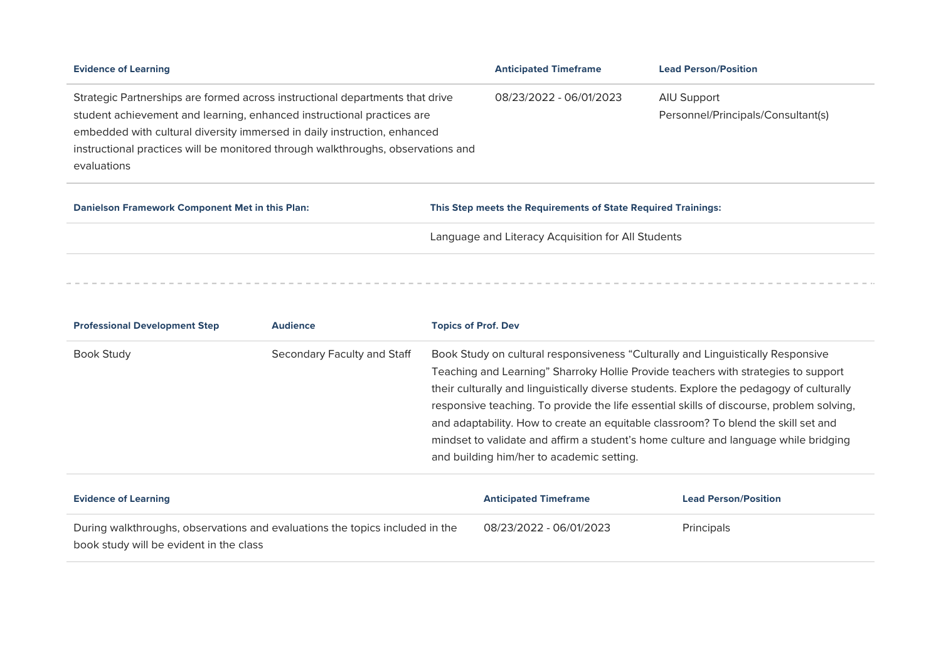| <b>Evidence of Learning</b>                                                                                                                                                                                                                                                                                             | <b>Anticipated Timeframe</b> | <b>Lead Person/Position</b>                       |
|-------------------------------------------------------------------------------------------------------------------------------------------------------------------------------------------------------------------------------------------------------------------------------------------------------------------------|------------------------------|---------------------------------------------------|
| Strategic Partnerships are formed across instructional departments that drive<br>student achievement and learning, enhanced instructional practices are<br>embedded with cultural diversity immersed in daily instruction, enhanced<br>instructional practices will be monitored through walkthroughs, observations and | 08/23/2022 - 06/01/2023      | AIU Support<br>Personnel/Principals/Consultant(s) |
| evaluations                                                                                                                                                                                                                                                                                                             |                              |                                                   |

| Danielson Framework Component Met in this Plan: | This Step meets the Requirements of State Required Trainings: |
|-------------------------------------------------|---------------------------------------------------------------|
|                                                 | Language and Literacy Acquisition for All Students            |
|                                                 |                                                               |

| <b>Professional Development Step</b>                                                                                    | <b>Audience</b>             |                                                                                                                                                                                                                                                                                                                                                                                                                                                                                                                                                                                         | <b>Topics of Prof. Dev</b>   |                             |
|-------------------------------------------------------------------------------------------------------------------------|-----------------------------|-----------------------------------------------------------------------------------------------------------------------------------------------------------------------------------------------------------------------------------------------------------------------------------------------------------------------------------------------------------------------------------------------------------------------------------------------------------------------------------------------------------------------------------------------------------------------------------------|------------------------------|-----------------------------|
| <b>Book Study</b>                                                                                                       | Secondary Faculty and Staff | Book Study on cultural responsiveness "Culturally and Linguistically Responsive<br>Teaching and Learning" Sharroky Hollie Provide teachers with strategies to support<br>their culturally and linguistically diverse students. Explore the pedagogy of culturally<br>responsive teaching. To provide the life essential skills of discourse, problem solving,<br>and adaptability. How to create an equitable classroom? To blend the skill set and<br>mindset to validate and affirm a student's home culture and language while bridging<br>and building him/her to academic setting. |                              |                             |
| <b>Evidence of Learning</b>                                                                                             |                             |                                                                                                                                                                                                                                                                                                                                                                                                                                                                                                                                                                                         | <b>Anticipated Timeframe</b> | <b>Lead Person/Position</b> |
| During walkthroughs, observations and evaluations the topics included in the<br>book study will be evident in the class |                             |                                                                                                                                                                                                                                                                                                                                                                                                                                                                                                                                                                                         | 08/23/2022 - 06/01/2023      | Principals                  |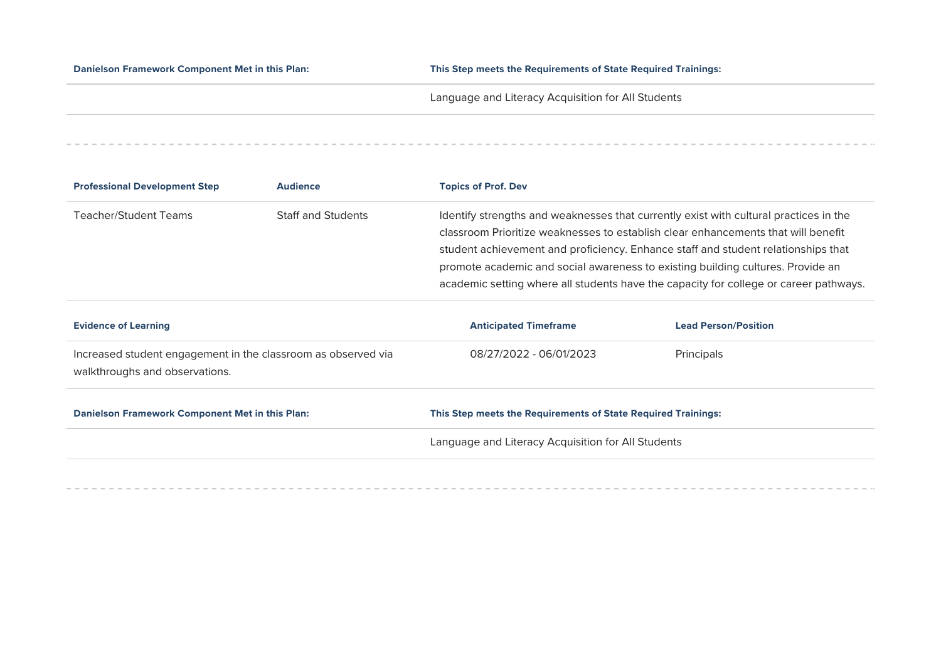**Danielson Framework Component Met in this Plan: This Step meets the Requirements of State Required Trainings:** 

Language and Literacy Acquisition for All Students

| <b>Professional Development Step</b> | <b>Audience</b>           | <b>Topics of Prof. Dev</b>                                                            |
|--------------------------------------|---------------------------|---------------------------------------------------------------------------------------|
| Teacher/Student Teams                | <b>Staff and Students</b> | Identify strengths and weaknesses that currently exist with cultural practices in the |
|                                      |                           | classroom Prioritize weaknesses to establish clear enhancements that will benefit     |
|                                      |                           | student achievement and proficiency. Enhance staff and student relationships that     |
|                                      |                           | promote academic and social awareness to existing building cultures. Provide an       |
|                                      |                           | academic setting where all students have the capacity for college or career pathways. |
|                                      |                           |                                                                                       |

| <b>Evidence of Learning</b>                                                                     | <b>Anticipated Timeframe</b>                                  | <b>Lead Person/Position</b> |  |  |
|-------------------------------------------------------------------------------------------------|---------------------------------------------------------------|-----------------------------|--|--|
| Increased student engagement in the classroom as observed via<br>walkthroughs and observations. | 08/27/2022 - 06/01/2023                                       | Principals                  |  |  |
| Danielson Framework Component Met in this Plan:                                                 | This Step meets the Requirements of State Required Trainings: |                             |  |  |
|                                                                                                 | Language and Literacy Acquisition for All Students            |                             |  |  |
|                                                                                                 |                                                               |                             |  |  |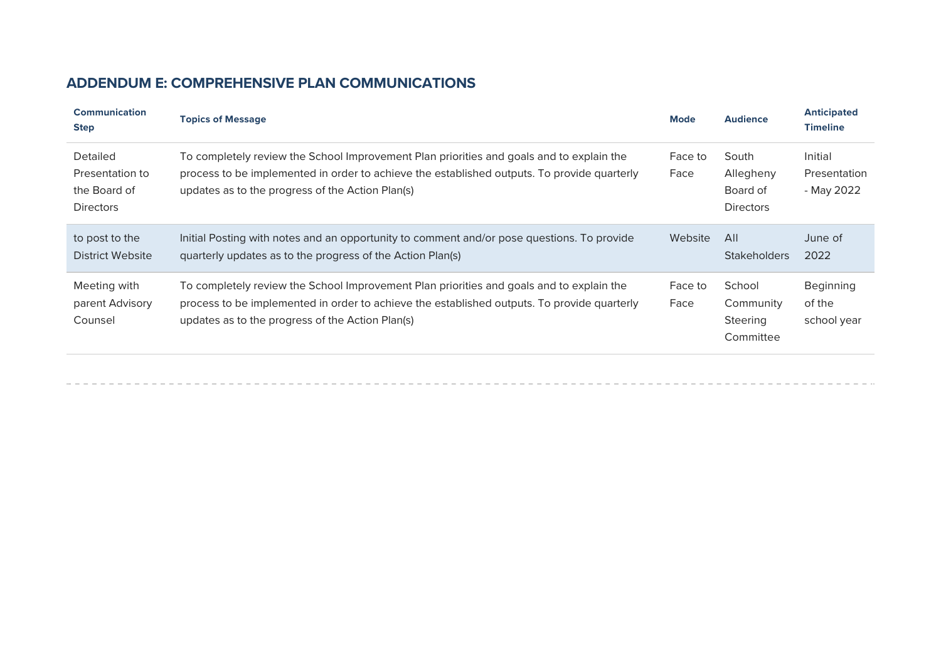# **ADDENDUM E: COMPREHENSIVE PLAN COMMUNICATIONS**

| <b>Communication</b><br><b>Step</b>                                    | <b>Topics of Message</b>                                                                                                                                                                                                                    | <b>Mode</b>     | <b>Audience</b>                                    | <b>Anticipated</b><br><b>Timeline</b> |
|------------------------------------------------------------------------|---------------------------------------------------------------------------------------------------------------------------------------------------------------------------------------------------------------------------------------------|-----------------|----------------------------------------------------|---------------------------------------|
| <b>Detailed</b><br>Presentation to<br>the Board of<br><b>Directors</b> | To completely review the School Improvement Plan priorities and goals and to explain the<br>process to be implemented in order to achieve the established outputs. To provide quarterly<br>updates as to the progress of the Action Plan(s) | Face to<br>Face | South<br>Allegheny<br>Board of<br><b>Directors</b> | Initial<br>Presentation<br>- May 2022 |
| to post to the<br><b>District Website</b>                              | Initial Posting with notes and an opportunity to comment and/or pose questions. To provide<br>quarterly updates as to the progress of the Action Plan(s)                                                                                    | Website         | AlI<br><b>Stakeholders</b>                         | June of<br>2022                       |
| Meeting with<br>parent Advisory<br>Counsel                             | To completely review the School Improvement Plan priorities and goals and to explain the<br>process to be implemented in order to achieve the established outputs. To provide quarterly<br>updates as to the progress of the Action Plan(s) | Face to<br>Face | School<br>Community<br>Steering<br>Committee       | Beginning<br>of the<br>school year    |